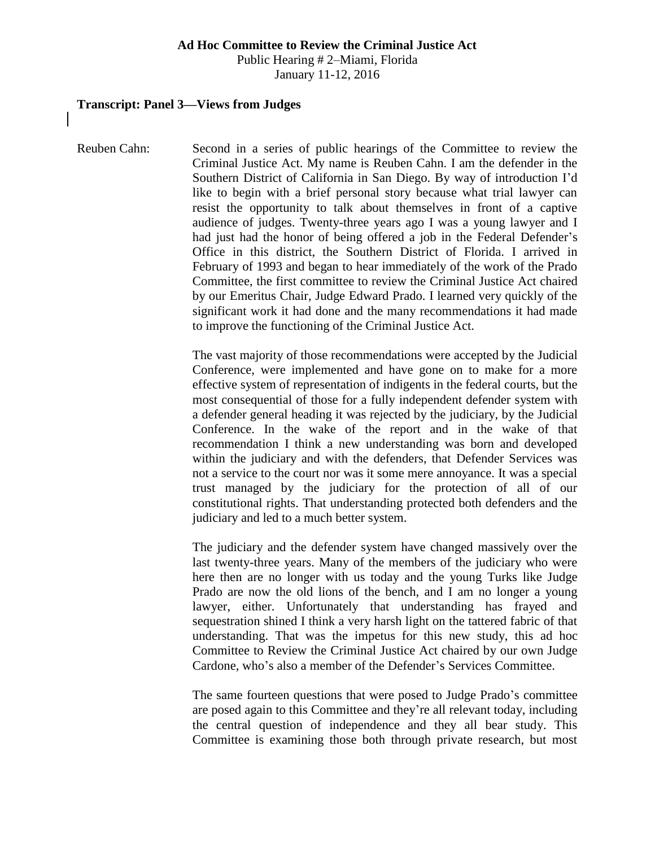#### **Ad Hoc Committee to Review the Criminal Justice Act**

Public Hearing # 2–Miami, Florida January 11-12, 2016

#### **Transcript: Panel 3—Views from Judges**

Reuben Cahn: Second in a series of public hearings of the Committee to review the Criminal Justice Act. My name is Reuben Cahn. I am the defender in the Southern District of California in San Diego. By way of introduction I'd like to begin with a brief personal story because what trial lawyer can resist the opportunity to talk about themselves in front of a captive audience of judges. Twenty-three years ago I was a young lawyer and I had just had the honor of being offered a job in the Federal Defender's Office in this district, the Southern District of Florida. I arrived in February of 1993 and began to hear immediately of the work of the Prado Committee, the first committee to review the Criminal Justice Act chaired by our Emeritus Chair, Judge Edward Prado. I learned very quickly of the significant work it had done and the many recommendations it had made to improve the functioning of the Criminal Justice Act.

> The vast majority of those recommendations were accepted by the Judicial Conference, were implemented and have gone on to make for a more effective system of representation of indigents in the federal courts, but the most consequential of those for a fully independent defender system with a defender general heading it was rejected by the judiciary, by the Judicial Conference. In the wake of the report and in the wake of that recommendation I think a new understanding was born and developed within the judiciary and with the defenders, that Defender Services was not a service to the court nor was it some mere annoyance. It was a special trust managed by the judiciary for the protection of all of our constitutional rights. That understanding protected both defenders and the judiciary and led to a much better system.

> The judiciary and the defender system have changed massively over the last twenty-three years. Many of the members of the judiciary who were here then are no longer with us today and the young Turks like Judge Prado are now the old lions of the bench, and I am no longer a young lawyer, either. Unfortunately that understanding has frayed and sequestration shined I think a very harsh light on the tattered fabric of that understanding. That was the impetus for this new study, this ad hoc Committee to Review the Criminal Justice Act chaired by our own Judge Cardone, who's also a member of the Defender's Services Committee.

> The same fourteen questions that were posed to Judge Prado's committee are posed again to this Committee and they're all relevant today, including the central question of independence and they all bear study. This Committee is examining those both through private research, but most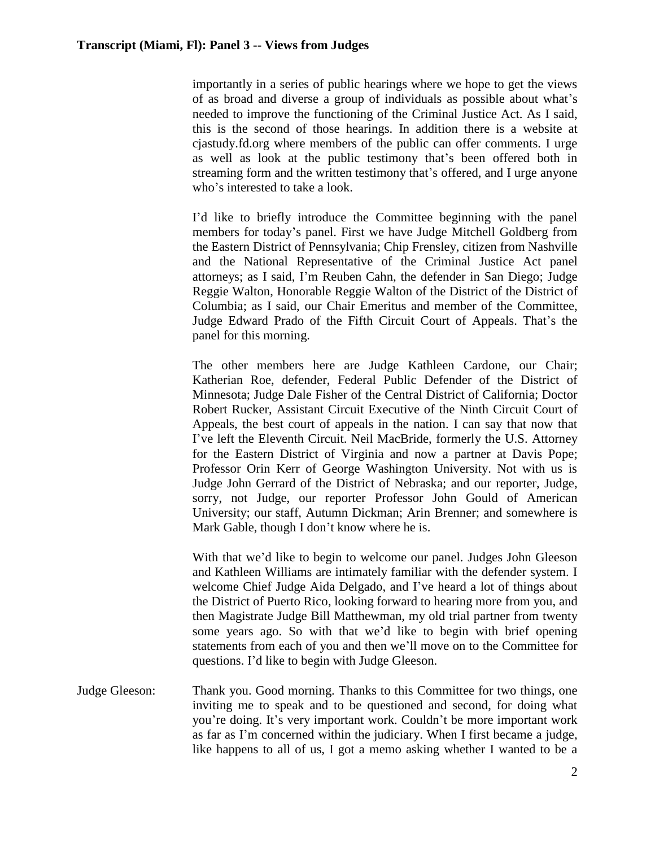importantly in a series of public hearings where we hope to get the views of as broad and diverse a group of individuals as possible about what's needed to improve the functioning of the Criminal Justice Act. As I said, this is the second of those hearings. In addition there is a website at cjastudy.fd.org where members of the public can offer comments. I urge as well as look at the public testimony that's been offered both in streaming form and the written testimony that's offered, and I urge anyone who's interested to take a look.

I'd like to briefly introduce the Committee beginning with the panel members for today's panel. First we have Judge Mitchell Goldberg from the Eastern District of Pennsylvania; Chip Frensley, citizen from Nashville and the National Representative of the Criminal Justice Act panel attorneys; as I said, I'm Reuben Cahn, the defender in San Diego; Judge Reggie Walton, Honorable Reggie Walton of the District of the District of Columbia; as I said, our Chair Emeritus and member of the Committee, Judge Edward Prado of the Fifth Circuit Court of Appeals. That's the panel for this morning.

The other members here are Judge Kathleen Cardone, our Chair; Katherian Roe, defender, Federal Public Defender of the District of Minnesota; Judge Dale Fisher of the Central District of California; Doctor Robert Rucker, Assistant Circuit Executive of the Ninth Circuit Court of Appeals, the best court of appeals in the nation. I can say that now that I've left the Eleventh Circuit. Neil MacBride, formerly the U.S. Attorney for the Eastern District of Virginia and now a partner at Davis Pope; Professor Orin Kerr of George Washington University. Not with us is Judge John Gerrard of the District of Nebraska; and our reporter, Judge, sorry, not Judge, our reporter Professor John Gould of American University; our staff, Autumn Dickman; Arin Brenner; and somewhere is Mark Gable, though I don't know where he is.

With that we'd like to begin to welcome our panel. Judges John Gleeson and Kathleen Williams are intimately familiar with the defender system. I welcome Chief Judge Aida Delgado, and I've heard a lot of things about the District of Puerto Rico, looking forward to hearing more from you, and then Magistrate Judge Bill Matthewman, my old trial partner from twenty some years ago. So with that we'd like to begin with brief opening statements from each of you and then we'll move on to the Committee for questions. I'd like to begin with Judge Gleeson.

Judge Gleeson: Thank you. Good morning. Thanks to this Committee for two things, one inviting me to speak and to be questioned and second, for doing what you're doing. It's very important work. Couldn't be more important work as far as I'm concerned within the judiciary. When I first became a judge, like happens to all of us, I got a memo asking whether I wanted to be a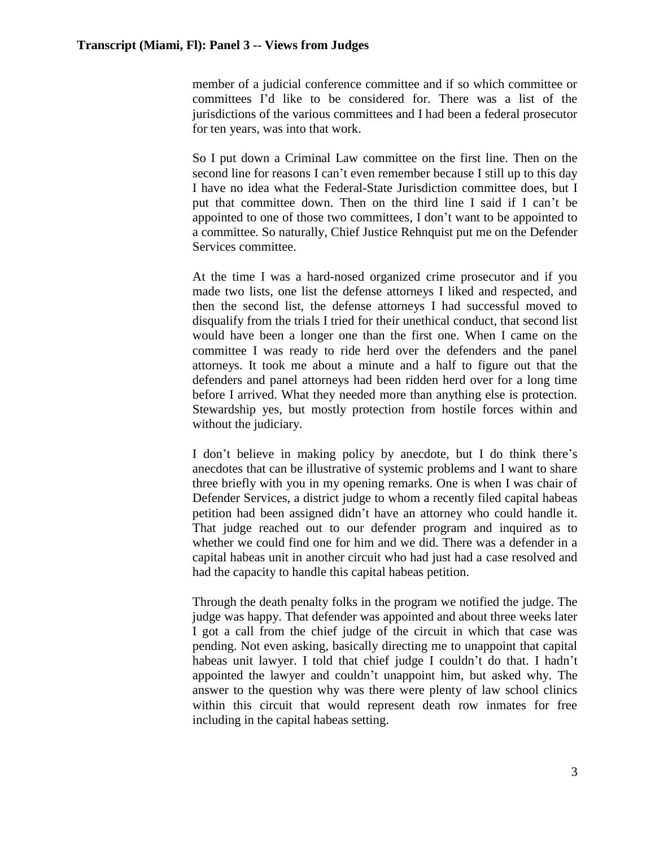member of a judicial conference committee and if so which committee or committees I'd like to be considered for. There was a list of the jurisdictions of the various committees and I had been a federal prosecutor for ten years, was into that work.

So I put down a Criminal Law committee on the first line. Then on the second line for reasons I can't even remember because I still up to this day I have no idea what the Federal-State Jurisdiction committee does, but I put that committee down. Then on the third line I said if I can't be appointed to one of those two committees, I don't want to be appointed to a committee. So naturally, Chief Justice Rehnquist put me on the Defender Services committee.

At the time I was a hard-nosed organized crime prosecutor and if you made two lists, one list the defense attorneys I liked and respected, and then the second list, the defense attorneys I had successful moved to disqualify from the trials I tried for their unethical conduct, that second list would have been a longer one than the first one. When I came on the committee I was ready to ride herd over the defenders and the panel attorneys. It took me about a minute and a half to figure out that the defenders and panel attorneys had been ridden herd over for a long time before I arrived. What they needed more than anything else is protection. Stewardship yes, but mostly protection from hostile forces within and without the judiciary.

I don't believe in making policy by anecdote, but I do think there's anecdotes that can be illustrative of systemic problems and I want to share three briefly with you in my opening remarks. One is when I was chair of Defender Services, a district judge to whom a recently filed capital habeas petition had been assigned didn't have an attorney who could handle it. That judge reached out to our defender program and inquired as to whether we could find one for him and we did. There was a defender in a capital habeas unit in another circuit who had just had a case resolved and had the capacity to handle this capital habeas petition.

Through the death penalty folks in the program we notified the judge. The judge was happy. That defender was appointed and about three weeks later I got a call from the chief judge of the circuit in which that case was pending. Not even asking, basically directing me to unappoint that capital habeas unit lawyer. I told that chief judge I couldn't do that. I hadn't appointed the lawyer and couldn't unappoint him, but asked why. The answer to the question why was there were plenty of law school clinics within this circuit that would represent death row inmates for free including in the capital habeas setting.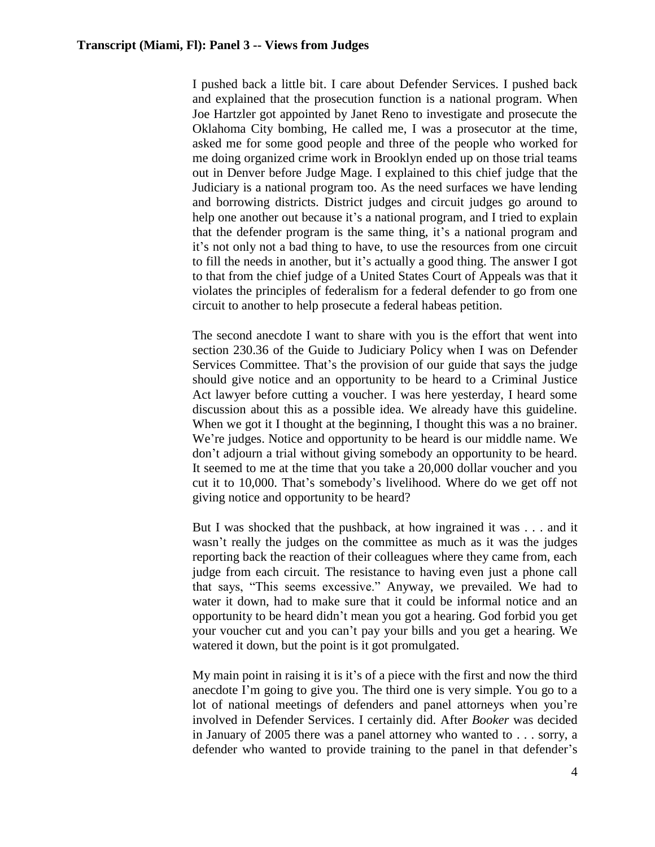I pushed back a little bit. I care about Defender Services. I pushed back and explained that the prosecution function is a national program. When Joe Hartzler got appointed by Janet Reno to investigate and prosecute the Oklahoma City bombing, He called me, I was a prosecutor at the time, asked me for some good people and three of the people who worked for me doing organized crime work in Brooklyn ended up on those trial teams out in Denver before Judge Mage. I explained to this chief judge that the Judiciary is a national program too. As the need surfaces we have lending and borrowing districts. District judges and circuit judges go around to help one another out because it's a national program, and I tried to explain that the defender program is the same thing, it's a national program and it's not only not a bad thing to have, to use the resources from one circuit to fill the needs in another, but it's actually a good thing. The answer I got to that from the chief judge of a United States Court of Appeals was that it violates the principles of federalism for a federal defender to go from one circuit to another to help prosecute a federal habeas petition.

The second anecdote I want to share with you is the effort that went into section 230.36 of the Guide to Judiciary Policy when I was on Defender Services Committee. That's the provision of our guide that says the judge should give notice and an opportunity to be heard to a Criminal Justice Act lawyer before cutting a voucher. I was here yesterday, I heard some discussion about this as a possible idea. We already have this guideline. When we got it I thought at the beginning, I thought this was a no brainer. We're judges. Notice and opportunity to be heard is our middle name. We don't adjourn a trial without giving somebody an opportunity to be heard. It seemed to me at the time that you take a 20,000 dollar voucher and you cut it to 10,000. That's somebody's livelihood. Where do we get off not giving notice and opportunity to be heard?

But I was shocked that the pushback, at how ingrained it was . . . and it wasn't really the judges on the committee as much as it was the judges reporting back the reaction of their colleagues where they came from, each judge from each circuit. The resistance to having even just a phone call that says, "This seems excessive." Anyway, we prevailed. We had to water it down, had to make sure that it could be informal notice and an opportunity to be heard didn't mean you got a hearing. God forbid you get your voucher cut and you can't pay your bills and you get a hearing. We watered it down, but the point is it got promulgated.

My main point in raising it is it's of a piece with the first and now the third anecdote I'm going to give you. The third one is very simple. You go to a lot of national meetings of defenders and panel attorneys when you're involved in Defender Services. I certainly did. After *Booker* was decided in January of 2005 there was a panel attorney who wanted to . . . sorry, a defender who wanted to provide training to the panel in that defender's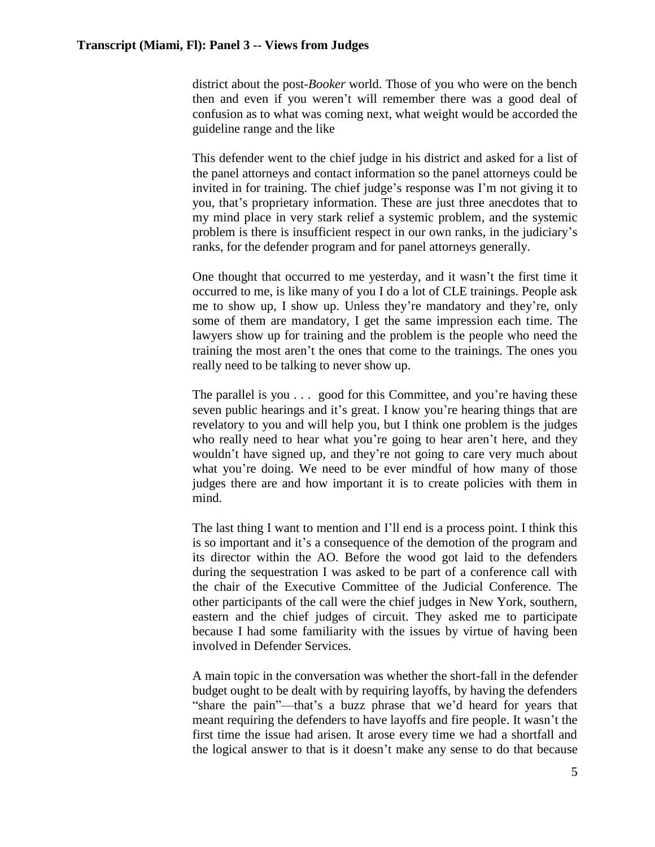district about the post-*Booker* world. Those of you who were on the bench then and even if you weren't will remember there was a good deal of confusion as to what was coming next, what weight would be accorded the guideline range and the like

This defender went to the chief judge in his district and asked for a list of the panel attorneys and contact information so the panel attorneys could be invited in for training. The chief judge's response was I'm not giving it to you, that's proprietary information. These are just three anecdotes that to my mind place in very stark relief a systemic problem, and the systemic problem is there is insufficient respect in our own ranks, in the judiciary's ranks, for the defender program and for panel attorneys generally.

One thought that occurred to me yesterday, and it wasn't the first time it occurred to me, is like many of you I do a lot of CLE trainings. People ask me to show up, I show up. Unless they're mandatory and they're, only some of them are mandatory, I get the same impression each time. The lawyers show up for training and the problem is the people who need the training the most aren't the ones that come to the trainings. The ones you really need to be talking to never show up.

The parallel is you . . . good for this Committee, and you're having these seven public hearings and it's great. I know you're hearing things that are revelatory to you and will help you, but I think one problem is the judges who really need to hear what you're going to hear aren't here, and they wouldn't have signed up, and they're not going to care very much about what you're doing. We need to be ever mindful of how many of those judges there are and how important it is to create policies with them in mind.

The last thing I want to mention and I'll end is a process point. I think this is so important and it's a consequence of the demotion of the program and its director within the AO. Before the wood got laid to the defenders during the sequestration I was asked to be part of a conference call with the chair of the Executive Committee of the Judicial Conference. The other participants of the call were the chief judges in New York, southern, eastern and the chief judges of circuit. They asked me to participate because I had some familiarity with the issues by virtue of having been involved in Defender Services.

A main topic in the conversation was whether the short-fall in the defender budget ought to be dealt with by requiring layoffs, by having the defenders "share the pain"—that's a buzz phrase that we'd heard for years that meant requiring the defenders to have layoffs and fire people. It wasn't the first time the issue had arisen. It arose every time we had a shortfall and the logical answer to that is it doesn't make any sense to do that because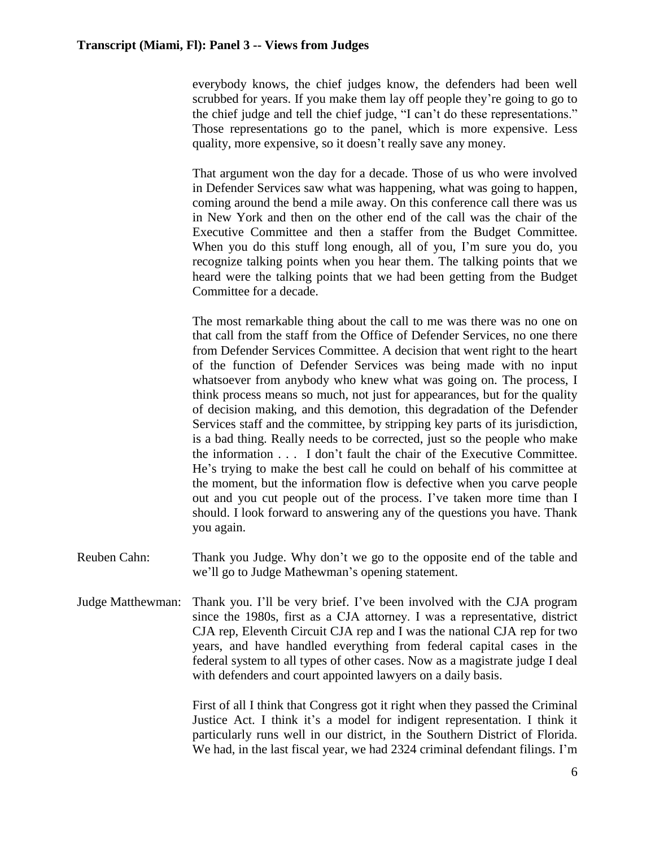everybody knows, the chief judges know, the defenders had been well scrubbed for years. If you make them lay off people they're going to go to the chief judge and tell the chief judge, "I can't do these representations." Those representations go to the panel, which is more expensive. Less quality, more expensive, so it doesn't really save any money.

That argument won the day for a decade. Those of us who were involved in Defender Services saw what was happening, what was going to happen, coming around the bend a mile away. On this conference call there was us in New York and then on the other end of the call was the chair of the Executive Committee and then a staffer from the Budget Committee. When you do this stuff long enough, all of you, I'm sure you do, you recognize talking points when you hear them. The talking points that we heard were the talking points that we had been getting from the Budget Committee for a decade.

The most remarkable thing about the call to me was there was no one on that call from the staff from the Office of Defender Services, no one there from Defender Services Committee. A decision that went right to the heart of the function of Defender Services was being made with no input whatsoever from anybody who knew what was going on. The process, I think process means so much, not just for appearances, but for the quality of decision making, and this demotion, this degradation of the Defender Services staff and the committee, by stripping key parts of its jurisdiction, is a bad thing. Really needs to be corrected, just so the people who make the information . . . I don't fault the chair of the Executive Committee. He's trying to make the best call he could on behalf of his committee at the moment, but the information flow is defective when you carve people out and you cut people out of the process. I've taken more time than I should. I look forward to answering any of the questions you have. Thank you again.

- Reuben Cahn: Thank you Judge. Why don't we go to the opposite end of the table and we'll go to Judge Mathewman's opening statement.
- Judge Matthewman: Thank you. I'll be very brief. I've been involved with the CJA program since the 1980s, first as a CЈA attorney. I was a representative, district CJA rep, Eleventh Circuit CJA rep and I was the national CJA rep for two years, and have handled everything from federal capital cases in the federal system to all types of other cases. Now as a magistrate judge I deal with defenders and court appointed lawyers on a daily basis.

First of all I think that Congress got it right when they passed the Criminal Justice Act. I think it's a model for indigent representation. I think it particularly runs well in our district, in the Southern District of Florida. We had, in the last fiscal year, we had 2324 criminal defendant filings. I'm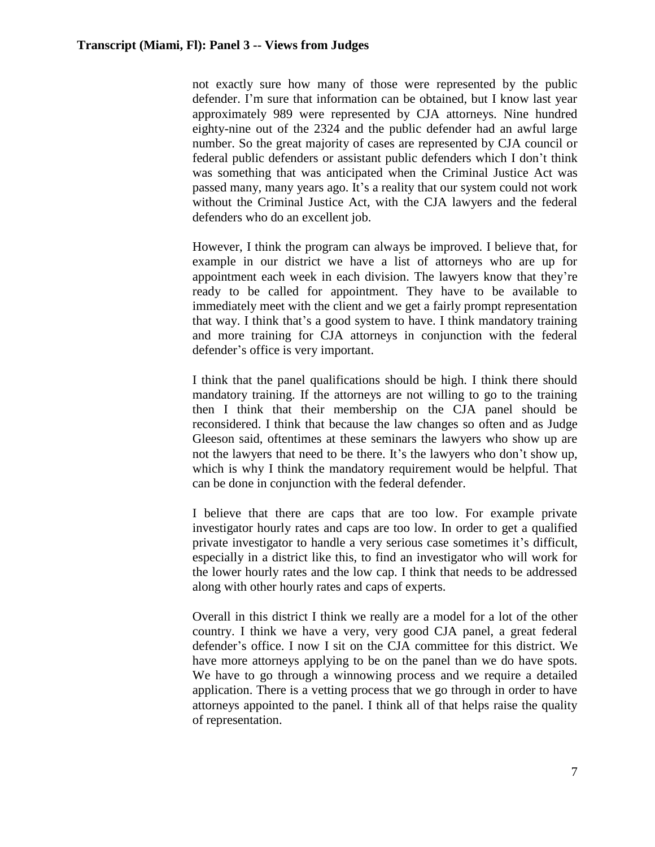not exactly sure how many of those were represented by the public defender. I'm sure that information can be obtained, but I know last year approximately 989 were represented by CJA attorneys. Nine hundred eighty-nine out of the 2324 and the public defender had an awful large number. So the great majority of cases are represented by CJA council or federal public defenders or assistant public defenders which I don't think was something that was anticipated when the Criminal Justice Act was passed many, many years ago. It's a reality that our system could not work without the Criminal Justice Act, with the CJA lawyers and the federal defenders who do an excellent job.

However, I think the program can always be improved. I believe that, for example in our district we have a list of attorneys who are up for appointment each week in each division. The lawyers know that they're ready to be called for appointment. They have to be available to immediately meet with the client and we get a fairly prompt representation that way. I think that's a good system to have. I think mandatory training and more training for CJA attorneys in conjunction with the federal defender's office is very important.

I think that the panel qualifications should be high. I think there should mandatory training. If the attorneys are not willing to go to the training then I think that their membership on the CJA panel should be reconsidered. I think that because the law changes so often and as Judge Gleeson said, oftentimes at these seminars the lawyers who show up are not the lawyers that need to be there. It's the lawyers who don't show up, which is why I think the mandatory requirement would be helpful. That can be done in conjunction with the federal defender.

I believe that there are caps that are too low. For example private investigator hourly rates and caps are too low. In order to get a qualified private investigator to handle a very serious case sometimes it's difficult, especially in a district like this, to find an investigator who will work for the lower hourly rates and the low cap. I think that needs to be addressed along with other hourly rates and caps of experts.

Overall in this district I think we really are a model for a lot of the other country. I think we have a very, very good CJA panel, a great federal defender's office. I now I sit on the CJA committee for this district. We have more attorneys applying to be on the panel than we do have spots. We have to go through a winnowing process and we require a detailed application. There is a vetting process that we go through in order to have attorneys appointed to the panel. I think all of that helps raise the quality of representation.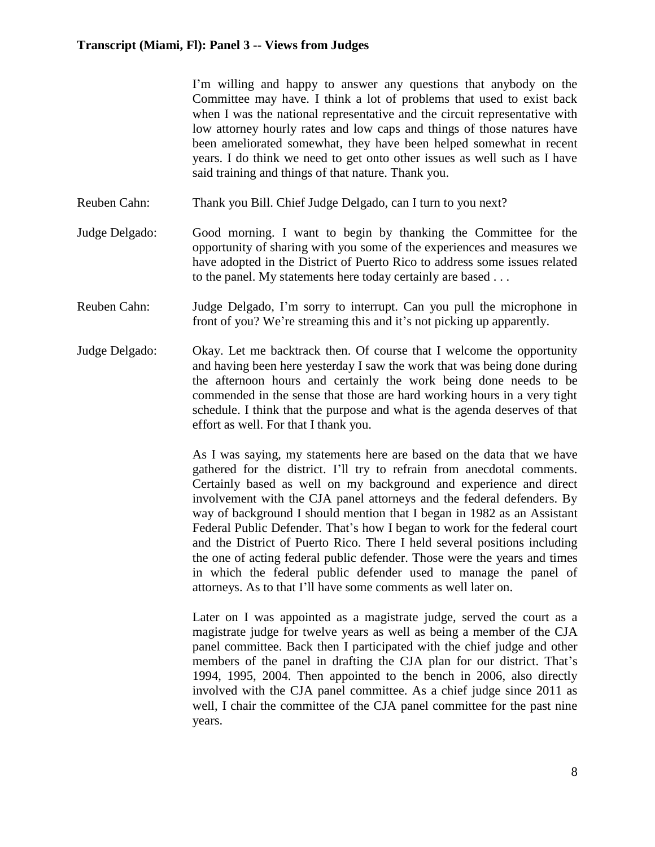|                | I'm willing and happy to answer any questions that anybody on the<br>Committee may have. I think a lot of problems that used to exist back<br>when I was the national representative and the circuit representative with<br>low attorney hourly rates and low caps and things of those natures have<br>been ameliorated somewhat, they have been helped somewhat in recent<br>years. I do think we need to get onto other issues as well such as I have<br>said training and things of that nature. Thank you.                                                                                                                                                                                                                                             |
|----------------|------------------------------------------------------------------------------------------------------------------------------------------------------------------------------------------------------------------------------------------------------------------------------------------------------------------------------------------------------------------------------------------------------------------------------------------------------------------------------------------------------------------------------------------------------------------------------------------------------------------------------------------------------------------------------------------------------------------------------------------------------------|
| Reuben Cahn:   | Thank you Bill. Chief Judge Delgado, can I turn to you next?                                                                                                                                                                                                                                                                                                                                                                                                                                                                                                                                                                                                                                                                                               |
| Judge Delgado: | Good morning. I want to begin by thanking the Committee for the<br>opportunity of sharing with you some of the experiences and measures we<br>have adopted in the District of Puerto Rico to address some issues related<br>to the panel. My statements here today certainly are based                                                                                                                                                                                                                                                                                                                                                                                                                                                                     |
| Reuben Cahn:   | Judge Delgado, I'm sorry to interrupt. Can you pull the microphone in<br>front of you? We're streaming this and it's not picking up apparently.                                                                                                                                                                                                                                                                                                                                                                                                                                                                                                                                                                                                            |
| Judge Delgado: | Okay. Let me backtrack then. Of course that I welcome the opportunity<br>and having been here yesterday I saw the work that was being done during<br>the afternoon hours and certainly the work being done needs to be<br>commended in the sense that those are hard working hours in a very tight<br>schedule. I think that the purpose and what is the agenda deserves of that<br>effort as well. For that I thank you.                                                                                                                                                                                                                                                                                                                                  |
|                | As I was saying, my statements here are based on the data that we have<br>gathered for the district. I'll try to refrain from anecdotal comments.<br>Certainly based as well on my background and experience and direct<br>involvement with the CJA panel attorneys and the federal defenders. By<br>way of background I should mention that I began in 1982 as an Assistant<br>Federal Public Defender. That's how I began to work for the federal court<br>and the District of Puerto Rico. There I held several positions including<br>the one of acting federal public defender. Those were the years and times<br>in which the federal public defender used to manage the panel of<br>attorneys. As to that I'll have some comments as well later on. |
|                | Later on I was appointed as a magistrate judge, served the court as a<br>magistrate judge for twelve years as well as being a member of the CJA<br>panel committee. Back then I participated with the chief judge and other<br>members of the panel in drafting the CJA plan for our district. That's<br>1994, 1995, 2004. Then appointed to the bench in 2006, also directly<br>involved with the CJA panel committee. As a chief judge since 2011 as<br>well, I chair the committee of the CJA panel committee for the past nine<br>years.                                                                                                                                                                                                               |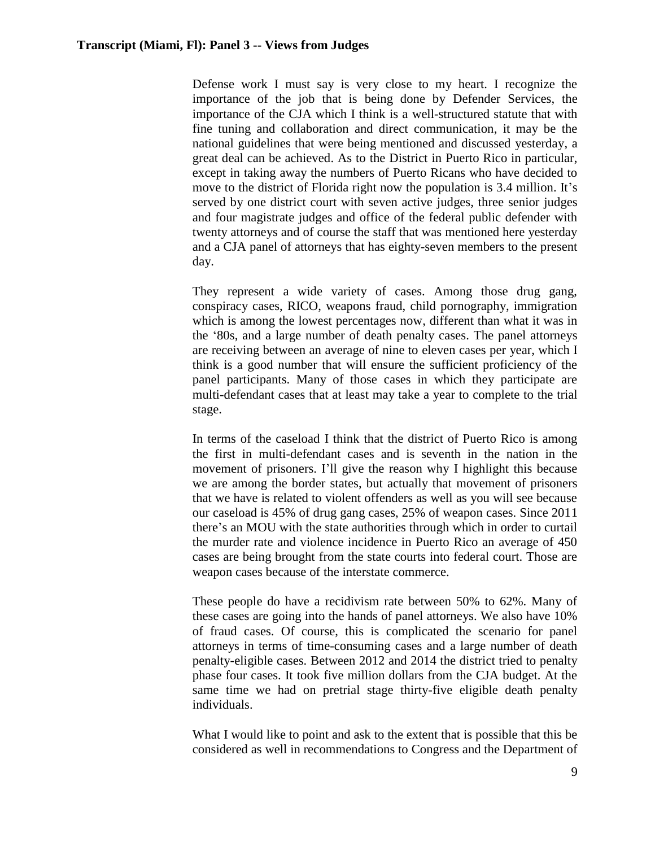Defense work I must say is very close to my heart. I recognize the importance of the job that is being done by Defender Services, the importance of the CJA which I think is a well-structured statute that with fine tuning and collaboration and direct communication, it may be the national guidelines that were being mentioned and discussed yesterday, a great deal can be achieved. As to the District in Puerto Rico in particular, except in taking away the numbers of Puerto Ricans who have decided to move to the district of Florida right now the population is 3.4 million. It's served by one district court with seven active judges, three senior judges and four magistrate judges and office of the federal public defender with twenty attorneys and of course the staff that was mentioned here yesterday and a CJA panel of attorneys that has eighty-seven members to the present day.

They represent a wide variety of cases. Among those drug gang, conspiracy cases, RICO, weapons fraud, child pornography, immigration which is among the lowest percentages now, different than what it was in the '80s, and a large number of death penalty cases. The panel attorneys are receiving between an average of nine to eleven cases per year, which I think is a good number that will ensure the sufficient proficiency of the panel participants. Many of those cases in which they participate are multi-defendant cases that at least may take a year to complete to the trial stage.

In terms of the caseload I think that the district of Puerto Rico is among the first in multi-defendant cases and is seventh in the nation in the movement of prisoners. I'll give the reason why I highlight this because we are among the border states, but actually that movement of prisoners that we have is related to violent offenders as well as you will see because our caseload is 45% of drug gang cases, 25% of weapon cases. Since 2011 there's an MOU with the state authorities through which in order to curtail the murder rate and violence incidence in Puerto Rico an average of 450 cases are being brought from the state courts into federal court. Those are weapon cases because of the interstate commerce.

These people do have a recidivism rate between 50% to 62%. Many of these cases are going into the hands of panel attorneys. We also have 10% of fraud cases. Of course, this is complicated the scenario for panel attorneys in terms of time-consuming cases and a large number of death penalty-eligible cases. Between 2012 and 2014 the district tried to penalty phase four cases. It took five million dollars from the CJA budget. At the same time we had on pretrial stage thirty-five eligible death penalty individuals.

What I would like to point and ask to the extent that is possible that this be considered as well in recommendations to Congress and the Department of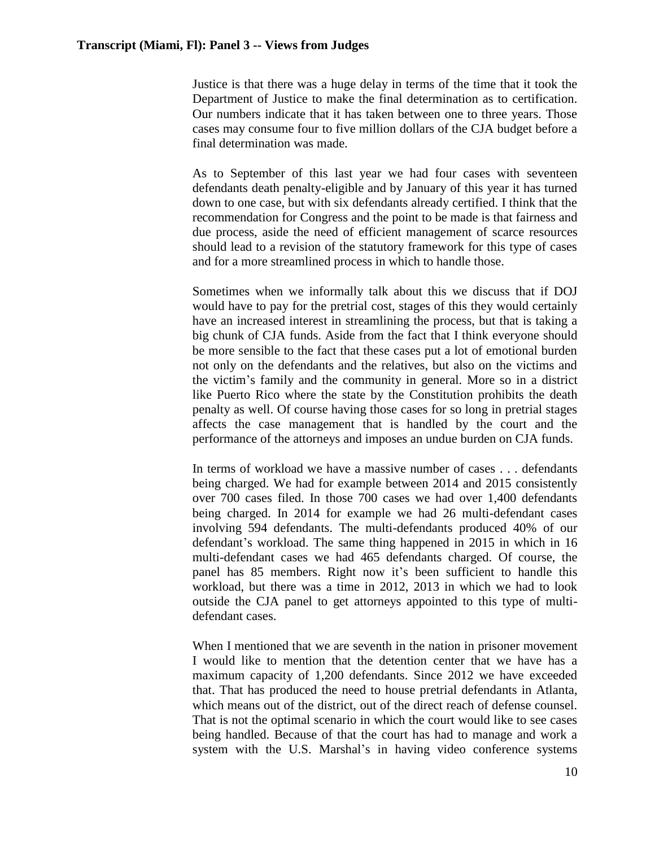Justice is that there was a huge delay in terms of the time that it took the Department of Justice to make the final determination as to certification. Our numbers indicate that it has taken between one to three years. Those cases may consume four to five million dollars of the CJA budget before a final determination was made.

As to September of this last year we had four cases with seventeen defendants death penalty-eligible and by January of this year it has turned down to one case, but with six defendants already certified. I think that the recommendation for Congress and the point to be made is that fairness and due process, aside the need of efficient management of scarce resources should lead to a revision of the statutory framework for this type of cases and for a more streamlined process in which to handle those.

Sometimes when we informally talk about this we discuss that if DOJ would have to pay for the pretrial cost, stages of this they would certainly have an increased interest in streamlining the process, but that is taking a big chunk of CJA funds. Aside from the fact that I think everyone should be more sensible to the fact that these cases put a lot of emotional burden not only on the defendants and the relatives, but also on the victims and the victim's family and the community in general. More so in a district like Puerto Rico where the state by the Constitution prohibits the death penalty as well. Of course having those cases for so long in pretrial stages affects the case management that is handled by the court and the performance of the attorneys and imposes an undue burden on CJA funds.

In terms of workload we have a massive number of cases . . . defendants being charged. We had for example between 2014 and 2015 consistently over 700 cases filed. In those 700 cases we had over 1,400 defendants being charged. In 2014 for example we had 26 multi-defendant cases involving 594 defendants. The multi-defendants produced 40% of our defendant's workload. The same thing happened in 2015 in which in 16 multi-defendant cases we had 465 defendants charged. Of course, the panel has 85 members. Right now it's been sufficient to handle this workload, but there was a time in 2012, 2013 in which we had to look outside the CJA panel to get attorneys appointed to this type of multidefendant cases.

When I mentioned that we are seventh in the nation in prisoner movement I would like to mention that the detention center that we have has a maximum capacity of 1,200 defendants. Since 2012 we have exceeded that. That has produced the need to house pretrial defendants in Atlanta, which means out of the district, out of the direct reach of defense counsel. That is not the optimal scenario in which the court would like to see cases being handled. Because of that the court has had to manage and work a system with the U.S. Marshal's in having video conference systems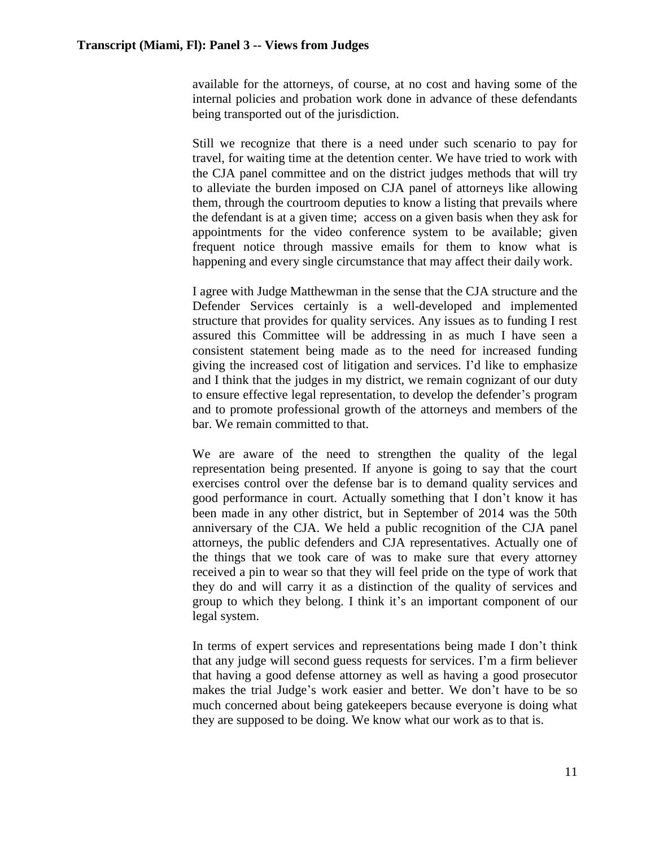available for the attorneys, of course, at no cost and having some of the internal policies and probation work done in advance of these defendants being transported out of the jurisdiction.

Still we recognize that there is a need under such scenario to pay for travel, for waiting time at the detention center. We have tried to work with the CJA panel committee and on the district judges methods that will try to alleviate the burden imposed on CJA panel of attorneys like allowing them, through the courtroom deputies to know a listing that prevails where the defendant is at a given time; access on a given basis when they ask for appointments for the video conference system to be available; given frequent notice through massive emails for them to know what is happening and every single circumstance that may affect their daily work.

I agree with Judge Matthewman in the sense that the CJA structure and the Defender Services certainly is a well-developed and implemented structure that provides for quality services. Any issues as to funding I rest assured this Committee will be addressing in as much I have seen a consistent statement being made as to the need for increased funding giving the increased cost of litigation and services. I'd like to emphasize and I think that the judges in my district, we remain cognizant of our duty to ensure effective legal representation, to develop the defender's program and to promote professional growth of the attorneys and members of the bar. We remain committed to that.

We are aware of the need to strengthen the quality of the legal representation being presented. If anyone is going to say that the court exercises control over the defense bar is to demand quality services and good performance in court. Actually something that I don't know it has been made in any other district, but in September of 2014 was the 50th anniversary of the CJA. We held a public recognition of the CJA panel attorneys, the public defenders and CJA representatives. Actually one of the things that we took care of was to make sure that every attorney received a pin to wear so that they will feel pride on the type of work that they do and will carry it as a distinction of the quality of services and group to which they belong. I think it's an important component of our legal system.

In terms of expert services and representations being made I don't think that any judge will second guess requests for services. I'm a firm believer that having a good defense attorney as well as having a good prosecutor makes the trial Judge's work easier and better. We don't have to be so much concerned about being gatekeepers because everyone is doing what they are supposed to be doing. We know what our work as to that is.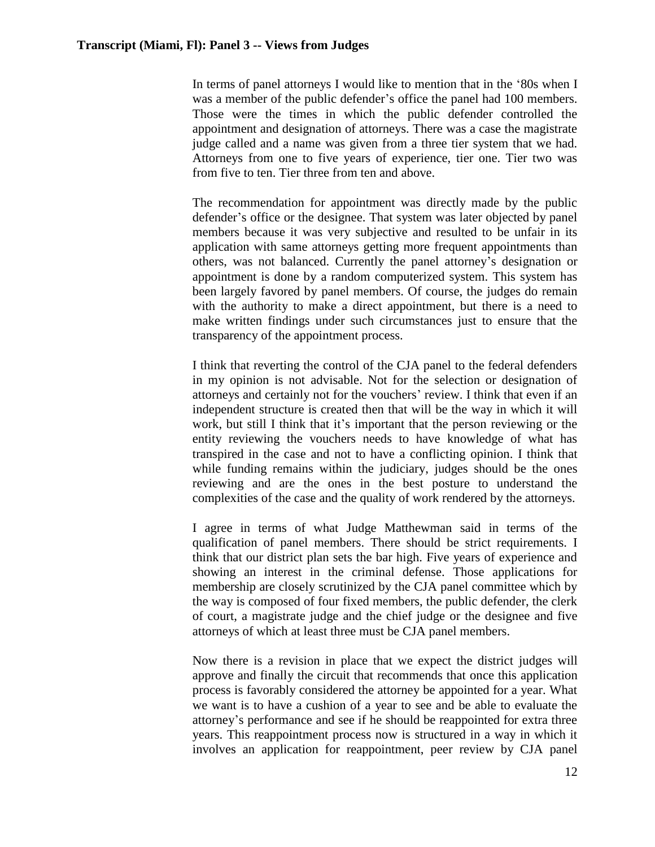In terms of panel attorneys I would like to mention that in the '80s when I was a member of the public defender's office the panel had 100 members. Those were the times in which the public defender controlled the appointment and designation of attorneys. There was a case the magistrate judge called and a name was given from a three tier system that we had. Attorneys from one to five years of experience, tier one. Tier two was from five to ten. Tier three from ten and above.

The recommendation for appointment was directly made by the public defender's office or the designee. That system was later objected by panel members because it was very subjective and resulted to be unfair in its application with same attorneys getting more frequent appointments than others, was not balanced. Currently the panel attorney's designation or appointment is done by a random computerized system. This system has been largely favored by panel members. Of course, the judges do remain with the authority to make a direct appointment, but there is a need to make written findings under such circumstances just to ensure that the transparency of the appointment process.

I think that reverting the control of the CJA panel to the federal defenders in my opinion is not advisable. Not for the selection or designation of attorneys and certainly not for the vouchers' review. I think that even if an independent structure is created then that will be the way in which it will work, but still I think that it's important that the person reviewing or the entity reviewing the vouchers needs to have knowledge of what has transpired in the case and not to have a conflicting opinion. I think that while funding remains within the judiciary, judges should be the ones reviewing and are the ones in the best posture to understand the complexities of the case and the quality of work rendered by the attorneys.

I agree in terms of what Judge Matthewman said in terms of the qualification of panel members. There should be strict requirements. I think that our district plan sets the bar high. Five years of experience and showing an interest in the criminal defense. Those applications for membership are closely scrutinized by the CJA panel committee which by the way is composed of four fixed members, the public defender, the clerk of court, a magistrate judge and the chief judge or the designee and five attorneys of which at least three must be CJA panel members.

Now there is a revision in place that we expect the district judges will approve and finally the circuit that recommends that once this application process is favorably considered the attorney be appointed for a year. What we want is to have a cushion of a year to see and be able to evaluate the attorney's performance and see if he should be reappointed for extra three years. This reappointment process now is structured in a way in which it involves an application for reappointment, peer review by CJA panel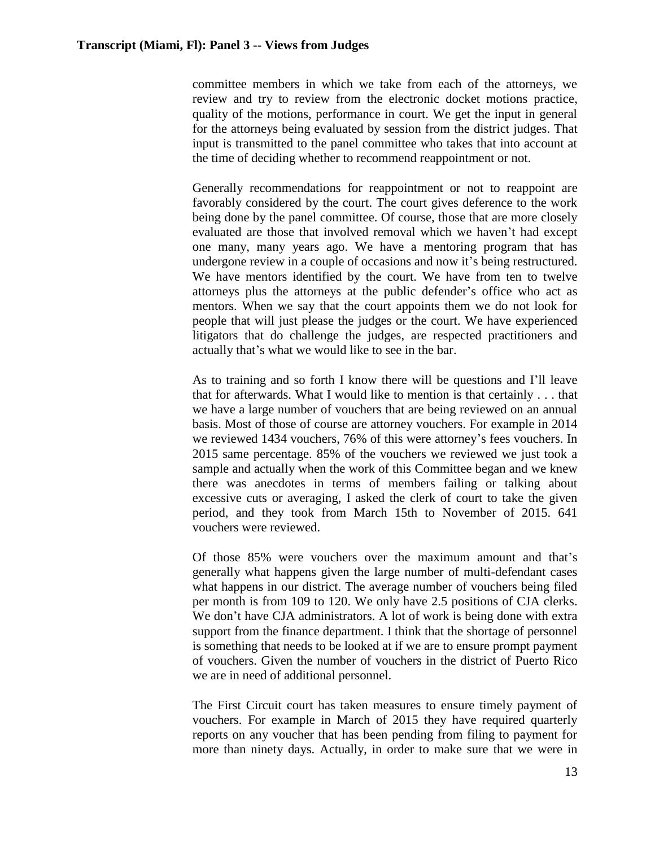committee members in which we take from each of the attorneys, we review and try to review from the electronic docket motions practice, quality of the motions, performance in court. We get the input in general for the attorneys being evaluated by session from the district judges. That input is transmitted to the panel committee who takes that into account at the time of deciding whether to recommend reappointment or not.

Generally recommendations for reappointment or not to reappoint are favorably considered by the court. The court gives deference to the work being done by the panel committee. Of course, those that are more closely evaluated are those that involved removal which we haven't had except one many, many years ago. We have a mentoring program that has undergone review in a couple of occasions and now it's being restructured. We have mentors identified by the court. We have from ten to twelve attorneys plus the attorneys at the public defender's office who act as mentors. When we say that the court appoints them we do not look for people that will just please the judges or the court. We have experienced litigators that do challenge the judges, are respected practitioners and actually that's what we would like to see in the bar.

As to training and so forth I know there will be questions and I'll leave that for afterwards. What I would like to mention is that certainly . . . that we have a large number of vouchers that are being reviewed on an annual basis. Most of those of course are attorney vouchers. For example in 2014 we reviewed 1434 vouchers, 76% of this were attorney's fees vouchers. In 2015 same percentage. 85% of the vouchers we reviewed we just took a sample and actually when the work of this Committee began and we knew there was anecdotes in terms of members failing or talking about excessive cuts or averaging, I asked the clerk of court to take the given period, and they took from March 15th to November of 2015. 641 vouchers were reviewed.

Of those 85% were vouchers over the maximum amount and that's generally what happens given the large number of multi-defendant cases what happens in our district. The average number of vouchers being filed per month is from 109 to 120. We only have 2.5 positions of CJA clerks. We don't have CJA administrators. A lot of work is being done with extra support from the finance department. I think that the shortage of personnel is something that needs to be looked at if we are to ensure prompt payment of vouchers. Given the number of vouchers in the district of Puerto Rico we are in need of additional personnel.

The First Circuit court has taken measures to ensure timely payment of vouchers. For example in March of 2015 they have required quarterly reports on any voucher that has been pending from filing to payment for more than ninety days. Actually, in order to make sure that we were in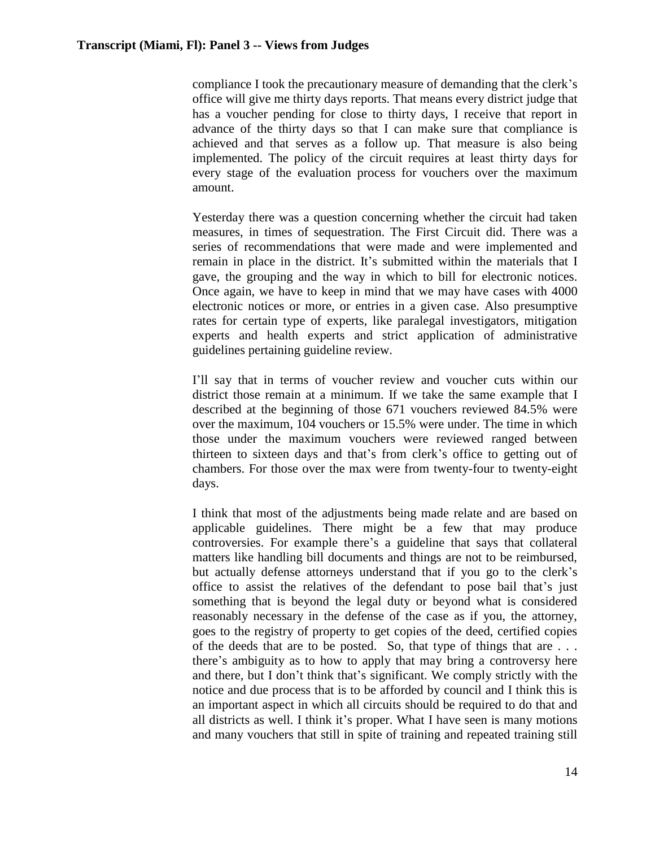compliance I took the precautionary measure of demanding that the clerk's office will give me thirty days reports. That means every district judge that has a voucher pending for close to thirty days, I receive that report in advance of the thirty days so that I can make sure that compliance is achieved and that serves as a follow up. That measure is also being implemented. The policy of the circuit requires at least thirty days for every stage of the evaluation process for vouchers over the maximum amount.

Yesterday there was a question concerning whether the circuit had taken measures, in times of sequestration. The First Circuit did. There was a series of recommendations that were made and were implemented and remain in place in the district. It's submitted within the materials that I gave, the grouping and the way in which to bill for electronic notices. Once again, we have to keep in mind that we may have cases with 4000 electronic notices or more, or entries in a given case. Also presumptive rates for certain type of experts, like paralegal investigators, mitigation experts and health experts and strict application of administrative guidelines pertaining guideline review.

I'll say that in terms of voucher review and voucher cuts within our district those remain at a minimum. If we take the same example that I described at the beginning of those 671 vouchers reviewed 84.5% were over the maximum, 104 vouchers or 15.5% were under. The time in which those under the maximum vouchers were reviewed ranged between thirteen to sixteen days and that's from clerk's office to getting out of chambers. For those over the max were from twenty-four to twenty-eight days.

I think that most of the adjustments being made relate and are based on applicable guidelines. There might be a few that may produce controversies. For example there's a guideline that says that collateral matters like handling bill documents and things are not to be reimbursed, but actually defense attorneys understand that if you go to the clerk's office to assist the relatives of the defendant to pose bail that's just something that is beyond the legal duty or beyond what is considered reasonably necessary in the defense of the case as if you, the attorney, goes to the registry of property to get copies of the deed, certified copies of the deeds that are to be posted. So, that type of things that are . . . there's ambiguity as to how to apply that may bring a controversy here and there, but I don't think that's significant. We comply strictly with the notice and due process that is to be afforded by council and I think this is an important aspect in which all circuits should be required to do that and all districts as well. I think it's proper. What I have seen is many motions and many vouchers that still in spite of training and repeated training still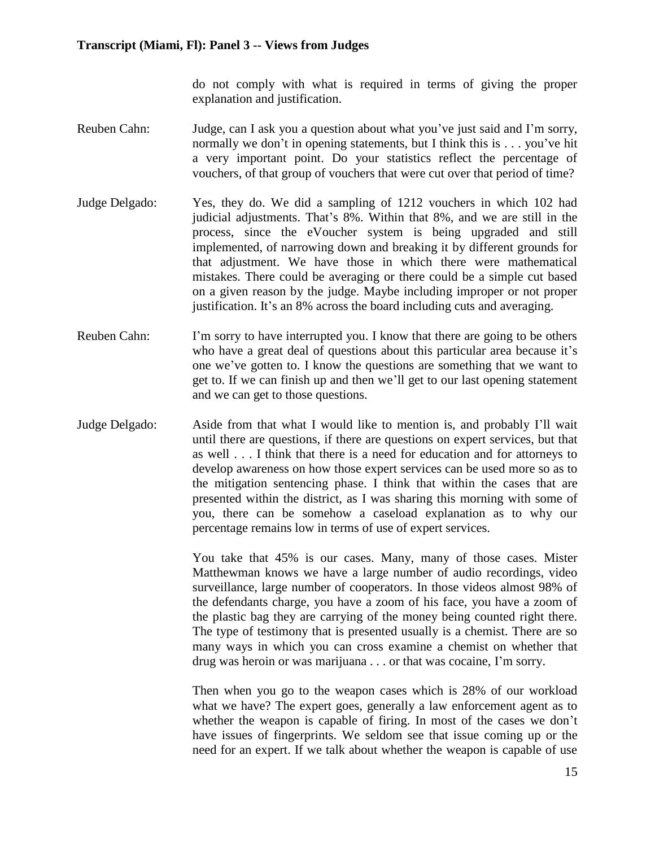do not comply with what is required in terms of giving the proper explanation and justification.

- Reuben Cahn: Judge, can I ask you a question about what you've just said and I'm sorry, normally we don't in opening statements, but I think this is . . . you've hit a very important point. Do your statistics reflect the percentage of vouchers, of that group of vouchers that were cut over that period of time?
- Judge Delgado: Yes, they do. We did a sampling of 1212 vouchers in which 102 had judicial adjustments. That's 8%. Within that 8%, and we are still in the process, since the eVoucher system is being upgraded and still implemented, of narrowing down and breaking it by different grounds for that adjustment. We have those in which there were mathematical mistakes. There could be averaging or there could be a simple cut based on a given reason by the judge. Maybe including improper or not proper justification. It's an 8% across the board including cuts and averaging.
- Reuben Cahn: I'm sorry to have interrupted you. I know that there are going to be others who have a great deal of questions about this particular area because it's one we've gotten to. I know the questions are something that we want to get to. If we can finish up and then we'll get to our last opening statement and we can get to those questions.
- Judge Delgado: Aside from that what I would like to mention is, and probably I'll wait until there are questions, if there are questions on expert services, but that as well . . . I think that there is a need for education and for attorneys to develop awareness on how those expert services can be used more so as to the mitigation sentencing phase. I think that within the cases that are presented within the district, as I was sharing this morning with some of you, there can be somehow a caseload explanation as to why our percentage remains low in terms of use of expert services.

You take that 45% is our cases. Many, many of those cases. Mister Matthewman knows we have a large number of audio recordings, video surveillance, large number of cooperators. In those videos almost 98% of the defendants charge, you have a zoom of his face, you have a zoom of the plastic bag they are carrying of the money being counted right there. The type of testimony that is presented usually is a chemist. There are so many ways in which you can cross examine a chemist on whether that drug was heroin or was marijuana . . . or that was cocaine, I'm sorry.

Then when you go to the weapon cases which is 28% of our workload what we have? The expert goes, generally a law enforcement agent as to whether the weapon is capable of firing. In most of the cases we don't have issues of fingerprints. We seldom see that issue coming up or the need for an expert. If we talk about whether the weapon is capable of use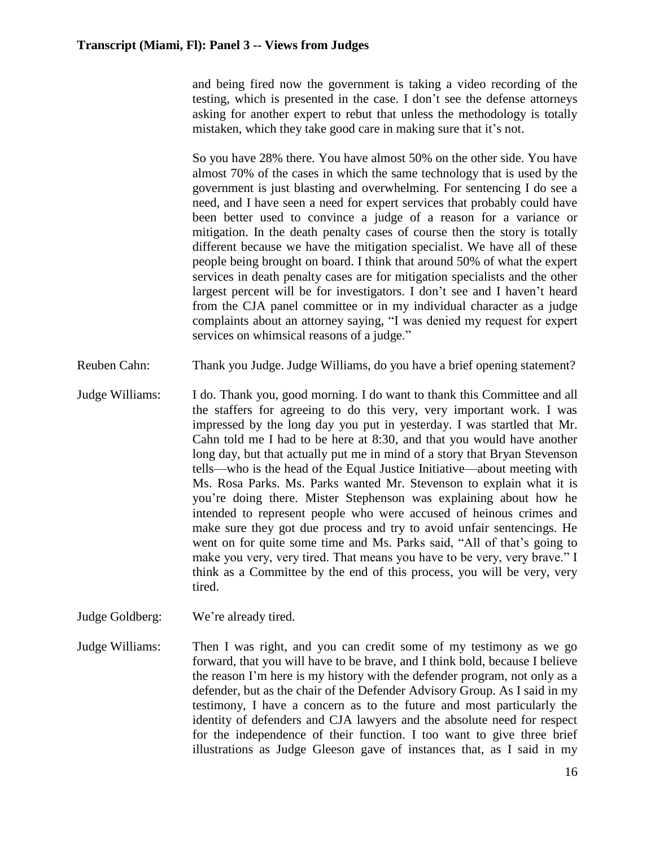and being fired now the government is taking a video recording of the testing, which is presented in the case. I don't see the defense attorneys asking for another expert to rebut that unless the methodology is totally mistaken, which they take good care in making sure that it's not.

So you have 28% there. You have almost 50% on the other side. You have almost 70% of the cases in which the same technology that is used by the government is just blasting and overwhelming. For sentencing I do see a need, and I have seen a need for expert services that probably could have been better used to convince a judge of a reason for a variance or mitigation. In the death penalty cases of course then the story is totally different because we have the mitigation specialist. We have all of these people being brought on board. I think that around 50% of what the expert services in death penalty cases are for mitigation specialists and the other largest percent will be for investigators. I don't see and I haven't heard from the CJA panel committee or in my individual character as a judge complaints about an attorney saying, "I was denied my request for expert services on whimsical reasons of a judge."

- Reuben Cahn: Thank you Judge. Judge Williams, do you have a brief opening statement?
- Judge Williams: I do. Thank you, good morning. I do want to thank this Committee and all the staffers for agreeing to do this very, very important work. I was impressed by the long day you put in yesterday. I was startled that Mr. Cahn told me I had to be here at 8:30, and that you would have another long day, but that actually put me in mind of a story that Bryan Stevenson tells—who is the head of the Equal Justice Initiative—about meeting with Ms. Rosa Parks. Ms. Parks wanted Mr. Stevenson to explain what it is you're doing there. Mister Stephenson was explaining about how he intended to represent people who were accused of heinous crimes and make sure they got due process and try to avoid unfair sentencings. He went on for quite some time and Ms. Parks said, "All of that's going to make you very, very tired. That means you have to be very, very brave." I think as a Committee by the end of this process, you will be very, very tired.

Judge Goldberg: We're already tired.

Judge Williams: Then I was right, and you can credit some of my testimony as we go forward, that you will have to be brave, and I think bold, because I believe the reason I'm here is my history with the defender program, not only as a defender, but as the chair of the Defender Advisory Group. As I said in my testimony, I have a concern as to the future and most particularly the identity of defenders and CJA lawyers and the absolute need for respect for the independence of their function. I too want to give three brief illustrations as Judge Gleeson gave of instances that, as I said in my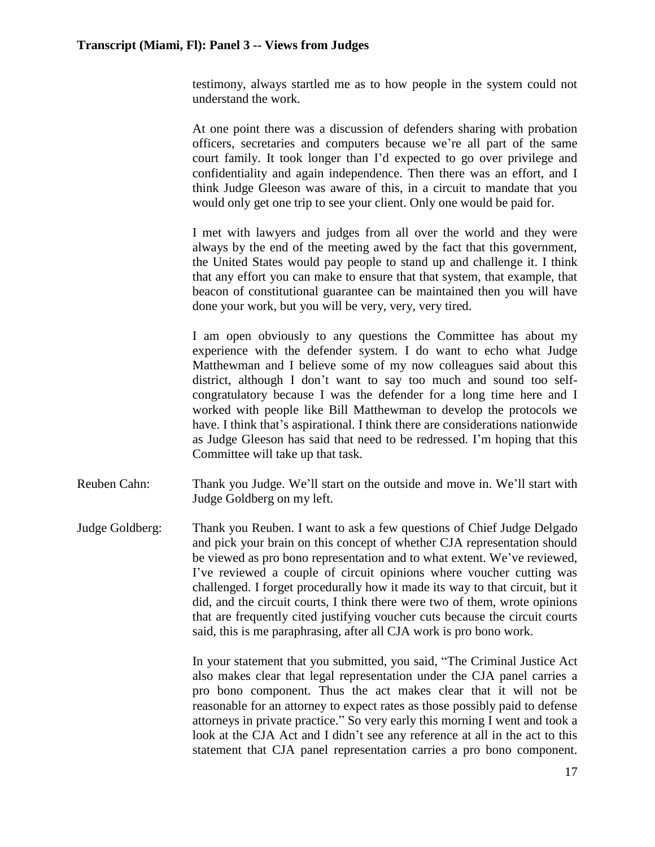testimony, always startled me as to how people in the system could not understand the work.

At one point there was a discussion of defenders sharing with probation officers, secretaries and computers because we're all part of the same court family. It took longer than I'd expected to go over privilege and confidentiality and again independence. Then there was an effort, and I think Judge Gleeson was aware of this, in a circuit to mandate that you would only get one trip to see your client. Only one would be paid for.

I met with lawyers and judges from all over the world and they were always by the end of the meeting awed by the fact that this government, the United States would pay people to stand up and challenge it. I think that any effort you can make to ensure that that system, that example, that beacon of constitutional guarantee can be maintained then you will have done your work, but you will be very, very, very tired.

I am open obviously to any questions the Committee has about my experience with the defender system. I do want to echo what Judge Matthewman and I believe some of my now colleagues said about this district, although I don't want to say too much and sound too selfcongratulatory because I was the defender for a long time here and I worked with people like Bill Matthewman to develop the protocols we have. I think that's aspirational. I think there are considerations nationwide as Judge Gleeson has said that need to be redressed. I'm hoping that this Committee will take up that task.

- Reuben Cahn: Thank you Judge. We'll start on the outside and move in. We'll start with Judge Goldberg on my left.
- Judge Goldberg: Thank you Reuben. I want to ask a few questions of Chief Judge Delgado and pick your brain on this concept of whether CJA representation should be viewed as pro bono representation and to what extent. We've reviewed, I've reviewed a couple of circuit opinions where voucher cutting was challenged. I forget procedurally how it made its way to that circuit, but it did, and the circuit courts, I think there were two of them, wrote opinions that are frequently cited justifying voucher cuts because the circuit courts said, this is me paraphrasing, after all CJA work is pro bono work.

In your statement that you submitted, you said, "The Criminal Justice Act also makes clear that legal representation under the CJA panel carries a pro bono component. Thus the act makes clear that it will not be reasonable for an attorney to expect rates as those possibly paid to defense attorneys in private practice." So very early this morning I went and took a look at the CJA Act and I didn't see any reference at all in the act to this statement that CJA panel representation carries a pro bono component.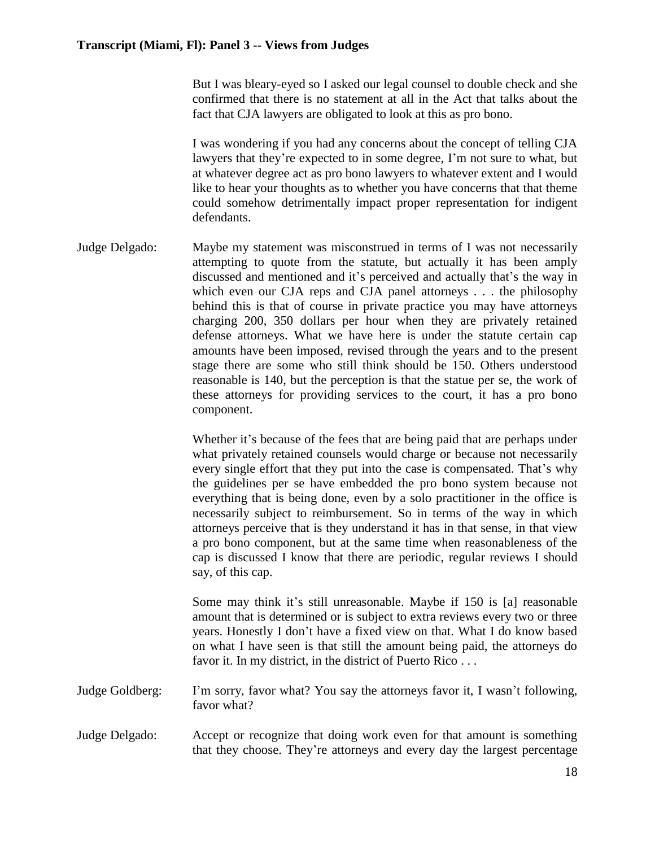But I was bleary-eyed so I asked our legal counsel to double check and she confirmed that there is no statement at all in the Act that talks about the fact that CJA lawyers are obligated to look at this as pro bono.

I was wondering if you had any concerns about the concept of telling CJA lawyers that they're expected to in some degree, I'm not sure to what, but at whatever degree act as pro bono lawyers to whatever extent and I would like to hear your thoughts as to whether you have concerns that that theme could somehow detrimentally impact proper representation for indigent defendants.

Judge Delgado: Maybe my statement was misconstrued in terms of I was not necessarily attempting to quote from the statute, but actually it has been amply discussed and mentioned and it's perceived and actually that's the way in which even our CJA reps and CJA panel attorneys . . . the philosophy behind this is that of course in private practice you may have attorneys charging 200, 350 dollars per hour when they are privately retained defense attorneys. What we have here is under the statute certain cap amounts have been imposed, revised through the years and to the present stage there are some who still think should be 150. Others understood reasonable is 140, but the perception is that the statue per se, the work of these attorneys for providing services to the court, it has a pro bono component.

> Whether it's because of the fees that are being paid that are perhaps under what privately retained counsels would charge or because not necessarily every single effort that they put into the case is compensated. That's why the guidelines per se have embedded the pro bono system because not everything that is being done, even by a solo practitioner in the office is necessarily subject to reimbursement. So in terms of the way in which attorneys perceive that is they understand it has in that sense, in that view a pro bono component, but at the same time when reasonableness of the cap is discussed I know that there are periodic, regular reviews I should say, of this cap.

> Some may think it's still unreasonable. Maybe if 150 is [a] reasonable amount that is determined or is subject to extra reviews every two or three years. Honestly I don't have a fixed view on that. What I do know based on what I have seen is that still the amount being paid, the attorneys do favor it. In my district, in the district of Puerto Rico . . .

Judge Goldberg: I'm sorry, favor what? You say the attorneys favor it, I wasn't following, favor what?

Judge Delgado: Accept or recognize that doing work even for that amount is something that they choose. They're attorneys and every day the largest percentage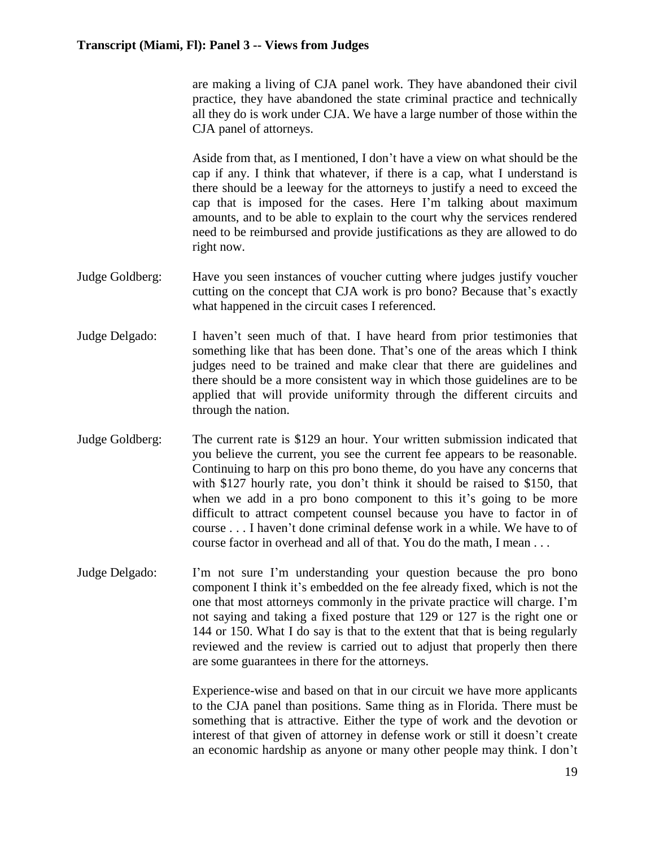are making a living of CJA panel work. They have abandoned their civil practice, they have abandoned the state criminal practice and technically all they do is work under CJA. We have a large number of those within the CJA panel of attorneys.

Aside from that, as I mentioned, I don't have a view on what should be the cap if any. I think that whatever, if there is a cap, what I understand is there should be a leeway for the attorneys to justify a need to exceed the cap that is imposed for the cases. Here I'm talking about maximum amounts, and to be able to explain to the court why the services rendered need to be reimbursed and provide justifications as they are allowed to do right now.

- Judge Goldberg: Have you seen instances of voucher cutting where judges justify voucher cutting on the concept that CJA work is pro bono? Because that's exactly what happened in the circuit cases I referenced.
- Judge Delgado: I haven't seen much of that. I have heard from prior testimonies that something like that has been done. That's one of the areas which I think judges need to be trained and make clear that there are guidelines and there should be a more consistent way in which those guidelines are to be applied that will provide uniformity through the different circuits and through the nation.
- Judge Goldberg: The current rate is \$129 an hour. Your written submission indicated that you believe the current, you see the current fee appears to be reasonable. Continuing to harp on this pro bono theme, do you have any concerns that with \$127 hourly rate, you don't think it should be raised to \$150, that when we add in a pro bono component to this it's going to be more difficult to attract competent counsel because you have to factor in of course . . . I haven't done criminal defense work in a while. We have to of course factor in overhead and all of that. You do the math, I mean . . .
- Judge Delgado: I'm not sure I'm understanding your question because the pro bono component I think it's embedded on the fee already fixed, which is not the one that most attorneys commonly in the private practice will charge. I'm not saying and taking a fixed posture that 129 or 127 is the right one or 144 or 150. What I do say is that to the extent that that is being regularly reviewed and the review is carried out to adjust that properly then there are some guarantees in there for the attorneys.

Experience-wise and based on that in our circuit we have more applicants to the CJA panel than positions. Same thing as in Florida. There must be something that is attractive. Either the type of work and the devotion or interest of that given of attorney in defense work or still it doesn't create an economic hardship as anyone or many other people may think. I don't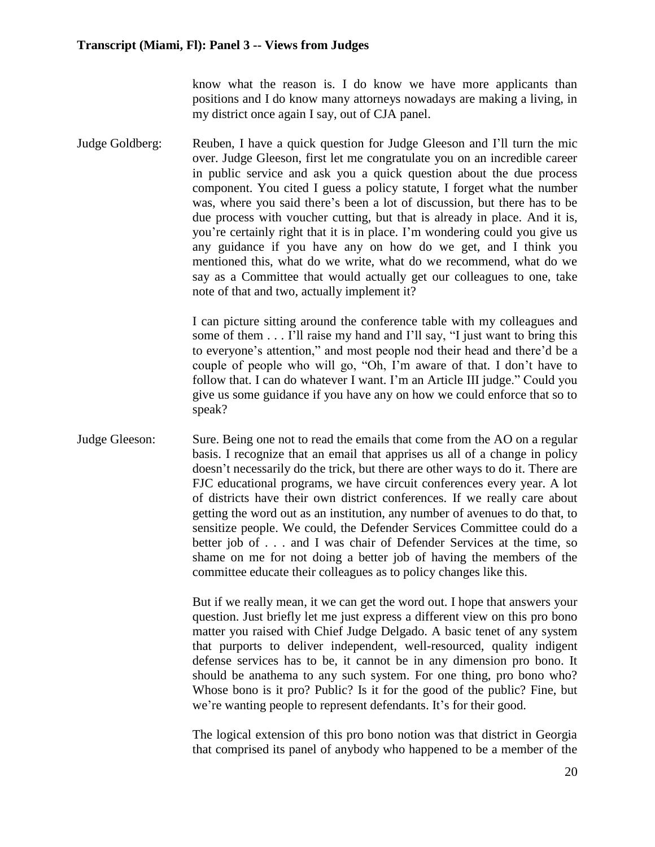know what the reason is. I do know we have more applicants than positions and I do know many attorneys nowadays are making a living, in my district once again I say, out of CJA panel.

Judge Goldberg: Reuben, I have a quick question for Judge Gleeson and I'll turn the mic over. Judge Gleeson, first let me congratulate you on an incredible career in public service and ask you a quick question about the due process component. You cited I guess a policy statute, I forget what the number was, where you said there's been a lot of discussion, but there has to be due process with voucher cutting, but that is already in place. And it is, you're certainly right that it is in place. I'm wondering could you give us any guidance if you have any on how do we get, and I think you mentioned this, what do we write, what do we recommend, what do we say as a Committee that would actually get our colleagues to one, take note of that and two, actually implement it?

> I can picture sitting around the conference table with my colleagues and some of them . . . I'll raise my hand and I'll say, "I just want to bring this to everyone's attention," and most people nod their head and there'd be a couple of people who will go, "Oh, I'm aware of that. I don't have to follow that. I can do whatever I want. I'm an Article III judge." Could you give us some guidance if you have any on how we could enforce that so to speak?

Judge Gleeson: Sure. Being one not to read the emails that come from the AO on a regular basis. I recognize that an email that apprises us all of a change in policy doesn't necessarily do the trick, but there are other ways to do it. There are FJC educational programs, we have circuit conferences every year. A lot of districts have their own district conferences. If we really care about getting the word out as an institution, any number of avenues to do that, to sensitize people. We could, the Defender Services Committee could do a better job of . . . and I was chair of Defender Services at the time, so shame on me for not doing a better job of having the members of the committee educate their colleagues as to policy changes like this.

> But if we really mean, it we can get the word out. I hope that answers your question. Just briefly let me just express a different view on this pro bono matter you raised with Chief Judge Delgado. A basic tenet of any system that purports to deliver independent, well-resourced, quality indigent defense services has to be, it cannot be in any dimension pro bono. It should be anathema to any such system. For one thing, pro bono who? Whose bono is it pro? Public? Is it for the good of the public? Fine, but we're wanting people to represent defendants. It's for their good.

> The logical extension of this pro bono notion was that district in Georgia that comprised its panel of anybody who happened to be a member of the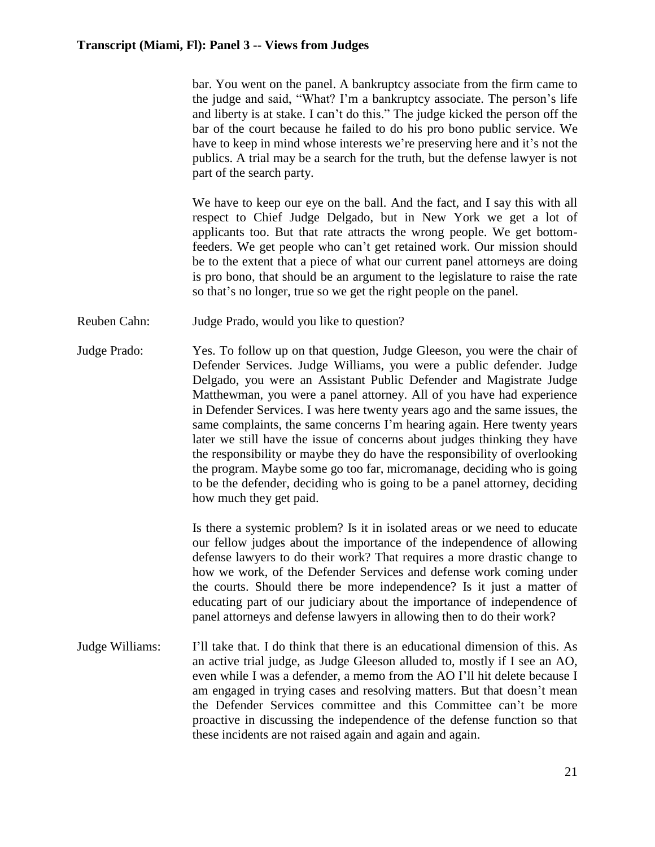bar. You went on the panel. A bankruptcy associate from the firm came to the judge and said, "What? I'm a bankruptcy associate. The person's life and liberty is at stake. I can't do this." The judge kicked the person off the bar of the court because he failed to do his pro bono public service. We have to keep in mind whose interests we're preserving here and it's not the publics. A trial may be a search for the truth, but the defense lawyer is not part of the search party.

We have to keep our eye on the ball. And the fact, and I say this with all respect to Chief Judge Delgado, but in New York we get a lot of applicants too. But that rate attracts the wrong people. We get bottomfeeders. We get people who can't get retained work. Our mission should be to the extent that a piece of what our current panel attorneys are doing is pro bono, that should be an argument to the legislature to raise the rate so that's no longer, true so we get the right people on the panel.

- Reuben Cahn: Judge Prado, would you like to question?
- Judge Prado: Yes. To follow up on that question, Judge Gleeson, you were the chair of Defender Services. Judge Williams, you were a public defender. Judge Delgado, you were an Assistant Public Defender and Magistrate Judge Matthewman, you were a panel attorney. All of you have had experience in Defender Services. I was here twenty years ago and the same issues, the same complaints, the same concerns I'm hearing again. Here twenty years later we still have the issue of concerns about judges thinking they have the responsibility or maybe they do have the responsibility of overlooking the program. Maybe some go too far, micromanage, deciding who is going to be the defender, deciding who is going to be a panel attorney, deciding how much they get paid.

Is there a systemic problem? Is it in isolated areas or we need to educate our fellow judges about the importance of the independence of allowing defense lawyers to do their work? That requires a more drastic change to how we work, of the Defender Services and defense work coming under the courts. Should there be more independence? Is it just a matter of educating part of our judiciary about the importance of independence of panel attorneys and defense lawyers in allowing then to do their work?

Judge Williams: I'll take that. I do think that there is an educational dimension of this. As an active trial judge, as Judge Gleeson alluded to, mostly if I see an AO, even while I was a defender, a memo from the AO I'll hit delete because I am engaged in trying cases and resolving matters. But that doesn't mean the Defender Services committee and this Committee can't be more proactive in discussing the independence of the defense function so that these incidents are not raised again and again and again.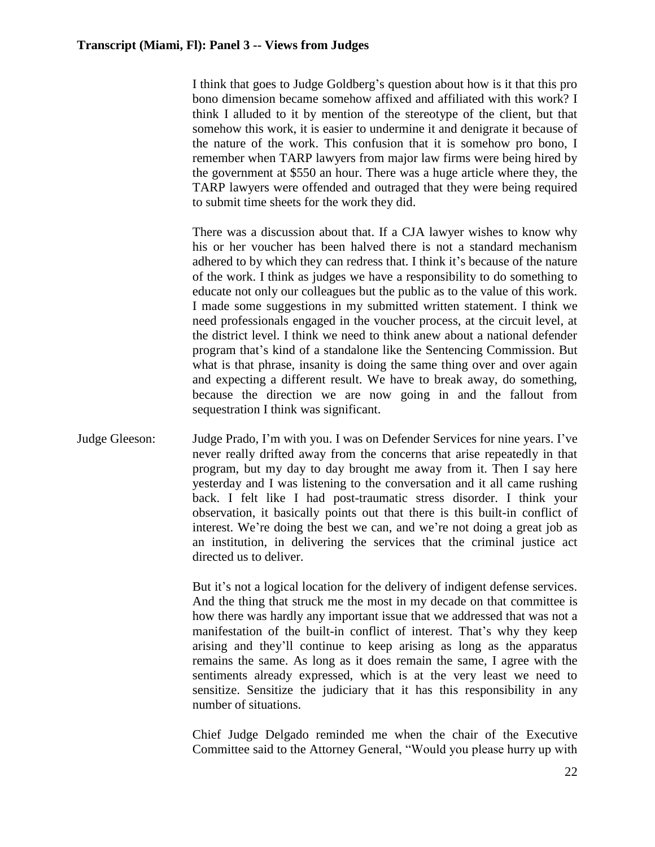I think that goes to Judge Goldberg's question about how is it that this pro bono dimension became somehow affixed and affiliated with this work? I think I alluded to it by mention of the stereotype of the client, but that somehow this work, it is easier to undermine it and denigrate it because of the nature of the work. This confusion that it is somehow pro bono, I remember when TARP lawyers from major law firms were being hired by the government at \$550 an hour. There was a huge article where they, the TARP lawyers were offended and outraged that they were being required to submit time sheets for the work they did.

There was a discussion about that. If a CJA lawyer wishes to know why his or her voucher has been halved there is not a standard mechanism adhered to by which they can redress that. I think it's because of the nature of the work. I think as judges we have a responsibility to do something to educate not only our colleagues but the public as to the value of this work. I made some suggestions in my submitted written statement. I think we need professionals engaged in the voucher process, at the circuit level, at the district level. I think we need to think anew about a national defender program that's kind of a standalone like the Sentencing Commission. But what is that phrase, insanity is doing the same thing over and over again and expecting a different result. We have to break away, do something, because the direction we are now going in and the fallout from sequestration I think was significant.

Judge Gleeson: Judge Prado, I'm with you. I was on Defender Services for nine years. I've never really drifted away from the concerns that arise repeatedly in that program, but my day to day brought me away from it. Then I say here yesterday and I was listening to the conversation and it all came rushing back. I felt like I had post-traumatic stress disorder. I think your observation, it basically points out that there is this built-in conflict of interest. We're doing the best we can, and we're not doing a great job as an institution, in delivering the services that the criminal justice act directed us to deliver.

> But it's not a logical location for the delivery of indigent defense services. And the thing that struck me the most in my decade on that committee is how there was hardly any important issue that we addressed that was not a manifestation of the built-in conflict of interest. That's why they keep arising and they'll continue to keep arising as long as the apparatus remains the same. As long as it does remain the same, I agree with the sentiments already expressed, which is at the very least we need to sensitize. Sensitize the judiciary that it has this responsibility in any number of situations.

> Chief Judge Delgado reminded me when the chair of the Executive Committee said to the Attorney General, "Would you please hurry up with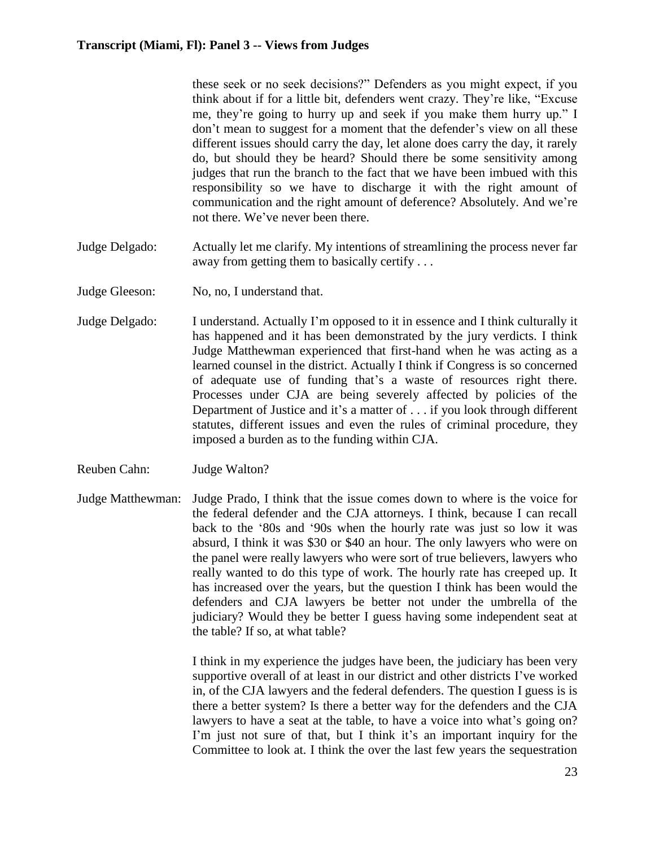these seek or no seek decisions?" Defenders as you might expect, if you think about if for a little bit, defenders went crazy. They're like, "Excuse me, they're going to hurry up and seek if you make them hurry up." I don't mean to suggest for a moment that the defender's view on all these different issues should carry the day, let alone does carry the day, it rarely do, but should they be heard? Should there be some sensitivity among judges that run the branch to the fact that we have been imbued with this responsibility so we have to discharge it with the right amount of communication and the right amount of deference? Absolutely. And we're not there. We've never been there.

- Judge Delgado: Actually let me clarify. My intentions of streamlining the process never far away from getting them to basically certify . . .
- Judge Gleeson: No, no, I understand that.
- Judge Delgado: I understand. Actually I'm opposed to it in essence and I think culturally it has happened and it has been demonstrated by the jury verdicts. I think Judge Matthewman experienced that first-hand when he was acting as a learned counsel in the district. Actually I think if Congress is so concerned of adequate use of funding that's a waste of resources right there. Processes under CJA are being severely affected by policies of the Department of Justice and it's a matter of . . . if you look through different statutes, different issues and even the rules of criminal procedure, they imposed a burden as to the funding within CJA.
- Reuben Cahn: Judge Walton?
- Judge Matthewman: Judge Prado, I think that the issue comes down to where is the voice for the federal defender and the CJA attorneys. I think, because I can recall back to the '80s and '90s when the hourly rate was just so low it was absurd, I think it was \$30 or \$40 an hour. The only lawyers who were on the panel were really lawyers who were sort of true believers, lawyers who really wanted to do this type of work. The hourly rate has creeped up. It has increased over the years, but the question I think has been would the defenders and CJA lawyers be better not under the umbrella of the judiciary? Would they be better I guess having some independent seat at the table? If so, at what table?

I think in my experience the judges have been, the judiciary has been very supportive overall of at least in our district and other districts I've worked in, of the CJA lawyers and the federal defenders. The question I guess is is there a better system? Is there a better way for the defenders and the CJA lawyers to have a seat at the table, to have a voice into what's going on? I'm just not sure of that, but I think it's an important inquiry for the Committee to look at. I think the over the last few years the sequestration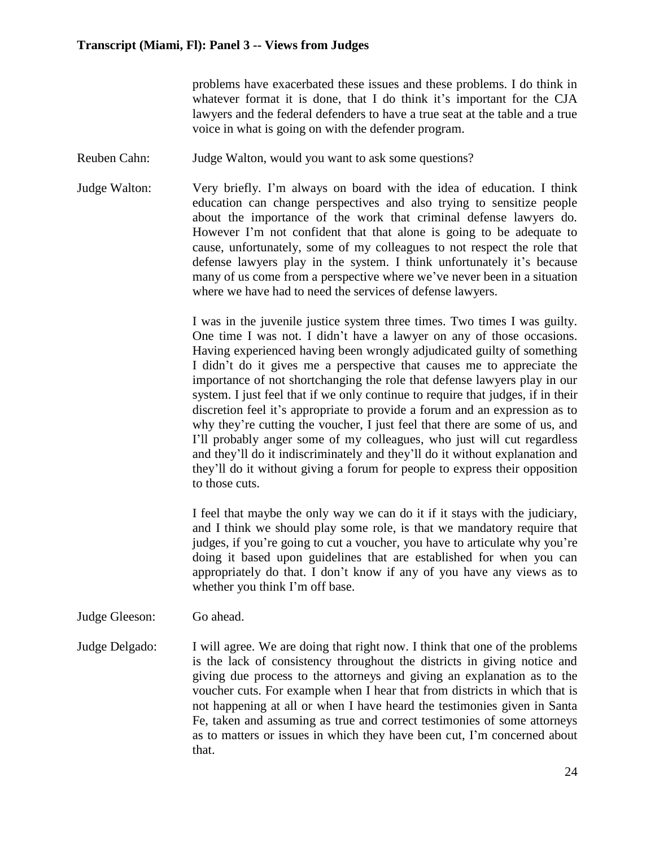problems have exacerbated these issues and these problems. I do think in whatever format it is done, that I do think it's important for the CJA lawyers and the federal defenders to have a true seat at the table and a true voice in what is going on with the defender program.

- Reuben Cahn: Judge Walton, would you want to ask some questions?
- Judge Walton: Very briefly. I'm always on board with the idea of education. I think education can change perspectives and also trying to sensitize people about the importance of the work that criminal defense lawyers do. However I'm not confident that that alone is going to be adequate to cause, unfortunately, some of my colleagues to not respect the role that defense lawyers play in the system. I think unfortunately it's because many of us come from a perspective where we've never been in a situation where we have had to need the services of defense lawyers.

I was in the juvenile justice system three times. Two times I was guilty. One time I was not. I didn't have a lawyer on any of those occasions. Having experienced having been wrongly adjudicated guilty of something I didn't do it gives me a perspective that causes me to appreciate the importance of not shortchanging the role that defense lawyers play in our system. I just feel that if we only continue to require that judges, if in their discretion feel it's appropriate to provide a forum and an expression as to why they're cutting the voucher. I just feel that there are some of us, and I'll probably anger some of my colleagues, who just will cut regardless and they'll do it indiscriminately and they'll do it without explanation and they'll do it without giving a forum for people to express their opposition to those cuts.

I feel that maybe the only way we can do it if it stays with the judiciary, and I think we should play some role, is that we mandatory require that judges, if you're going to cut a voucher, you have to articulate why you're doing it based upon guidelines that are established for when you can appropriately do that. I don't know if any of you have any views as to whether you think I'm off base.

- Judge Gleeson: Go ahead.
- Judge Delgado: I will agree. We are doing that right now. I think that one of the problems is the lack of consistency throughout the districts in giving notice and giving due process to the attorneys and giving an explanation as to the voucher cuts. For example when I hear that from districts in which that is not happening at all or when I have heard the testimonies given in Santa Fe, taken and assuming as true and correct testimonies of some attorneys as to matters or issues in which they have been cut, I'm concerned about that.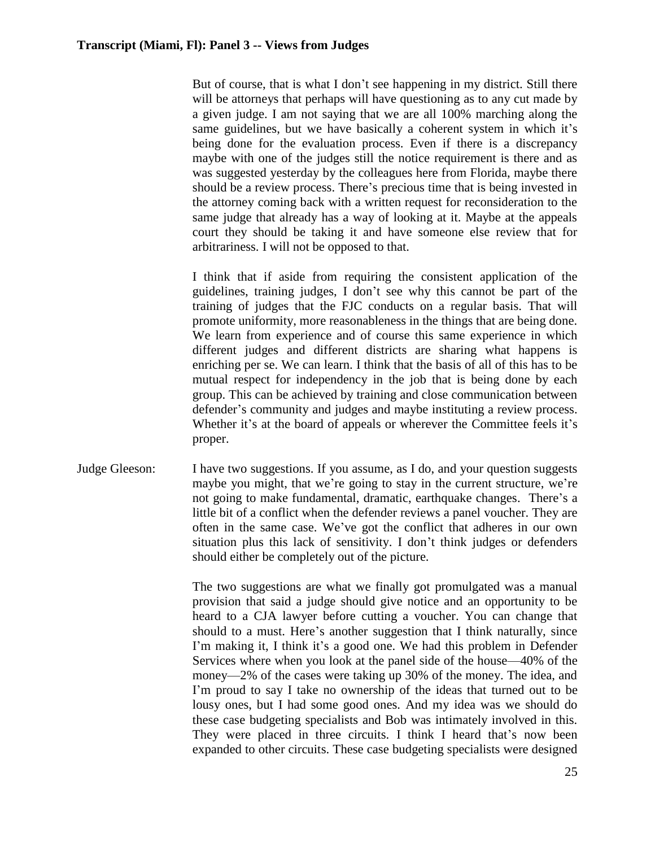But of course, that is what I don't see happening in my district. Still there will be attorneys that perhaps will have questioning as to any cut made by a given judge. I am not saying that we are all 100% marching along the same guidelines, but we have basically a coherent system in which it's being done for the evaluation process. Even if there is a discrepancy maybe with one of the judges still the notice requirement is there and as was suggested yesterday by the colleagues here from Florida, maybe there should be a review process. There's precious time that is being invested in the attorney coming back with a written request for reconsideration to the same judge that already has a way of looking at it. Maybe at the appeals court they should be taking it and have someone else review that for arbitrariness. I will not be opposed to that.

I think that if aside from requiring the consistent application of the guidelines, training judges, I don't see why this cannot be part of the training of judges that the FJC conducts on a regular basis. That will promote uniformity, more reasonableness in the things that are being done. We learn from experience and of course this same experience in which different judges and different districts are sharing what happens is enriching per se. We can learn. I think that the basis of all of this has to be mutual respect for independency in the job that is being done by each group. This can be achieved by training and close communication between defender's community and judges and maybe instituting a review process. Whether it's at the board of appeals or wherever the Committee feels it's proper.

Judge Gleeson: I have two suggestions. If you assume, as I do, and your question suggests maybe you might, that we're going to stay in the current structure, we're not going to make fundamental, dramatic, earthquake changes. There's a little bit of a conflict when the defender reviews a panel voucher. They are often in the same case. We've got the conflict that adheres in our own situation plus this lack of sensitivity. I don't think judges or defenders should either be completely out of the picture.

> The two suggestions are what we finally got promulgated was a manual provision that said a judge should give notice and an opportunity to be heard to a CJA lawyer before cutting a voucher. You can change that should to a must. Here's another suggestion that I think naturally, since I'm making it, I think it's a good one. We had this problem in Defender Services where when you look at the panel side of the house—40% of the money—2% of the cases were taking up 30% of the money. The idea, and I'm proud to say I take no ownership of the ideas that turned out to be lousy ones, but I had some good ones. And my idea was we should do these case budgeting specialists and Bob was intimately involved in this. They were placed in three circuits. I think I heard that's now been expanded to other circuits. These case budgeting specialists were designed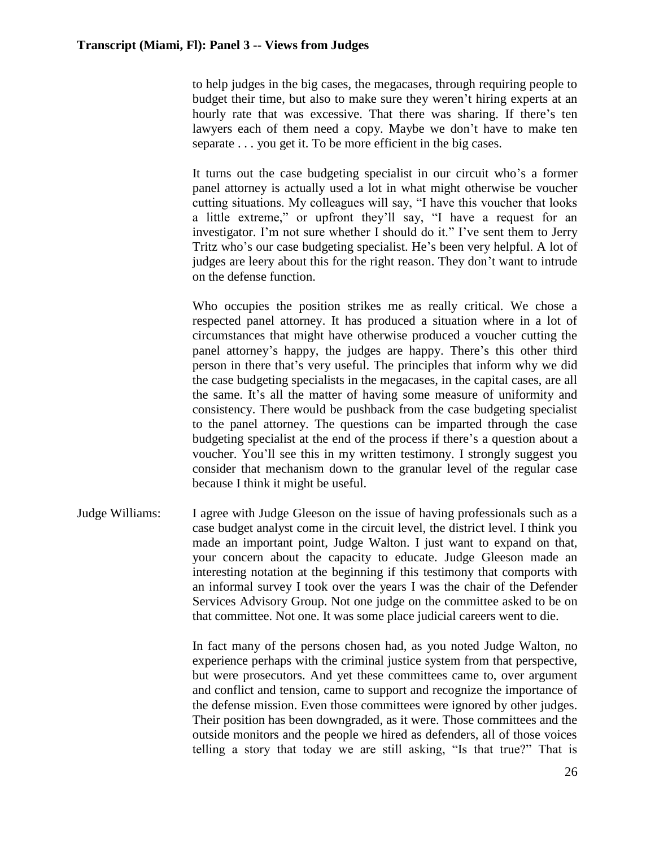to help judges in the big cases, the megacases, through requiring people to budget their time, but also to make sure they weren't hiring experts at an hourly rate that was excessive. That there was sharing. If there's ten lawyers each of them need a copy. Maybe we don't have to make ten separate . . . you get it. To be more efficient in the big cases.

It turns out the case budgeting specialist in our circuit who's a former panel attorney is actually used a lot in what might otherwise be voucher cutting situations. My colleagues will say, "I have this voucher that looks a little extreme," or upfront they'll say, "I have a request for an investigator. I'm not sure whether I should do it." I've sent them to Jerry Tritz who's our case budgeting specialist. He's been very helpful. A lot of judges are leery about this for the right reason. They don't want to intrude on the defense function.

Who occupies the position strikes me as really critical. We chose a respected panel attorney. It has produced a situation where in a lot of circumstances that might have otherwise produced a voucher cutting the panel attorney's happy, the judges are happy. There's this other third person in there that's very useful. The principles that inform why we did the case budgeting specialists in the megacases, in the capital cases, are all the same. It's all the matter of having some measure of uniformity and consistency. There would be pushback from the case budgeting specialist to the panel attorney. The questions can be imparted through the case budgeting specialist at the end of the process if there's a question about a voucher. You'll see this in my written testimony. I strongly suggest you consider that mechanism down to the granular level of the regular case because I think it might be useful.

Judge Williams: I agree with Judge Gleeson on the issue of having professionals such as a case budget analyst come in the circuit level, the district level. I think you made an important point, Judge Walton. I just want to expand on that, your concern about the capacity to educate. Judge Gleeson made an interesting notation at the beginning if this testimony that comports with an informal survey I took over the years I was the chair of the Defender Services Advisory Group. Not one judge on the committee asked to be on that committee. Not one. It was some place judicial careers went to die.

> In fact many of the persons chosen had, as you noted Judge Walton, no experience perhaps with the criminal justice system from that perspective, but were prosecutors. And yet these committees came to, over argument and conflict and tension, came to support and recognize the importance of the defense mission. Even those committees were ignored by other judges. Their position has been downgraded, as it were. Those committees and the outside monitors and the people we hired as defenders, all of those voices telling a story that today we are still asking, "Is that true?" That is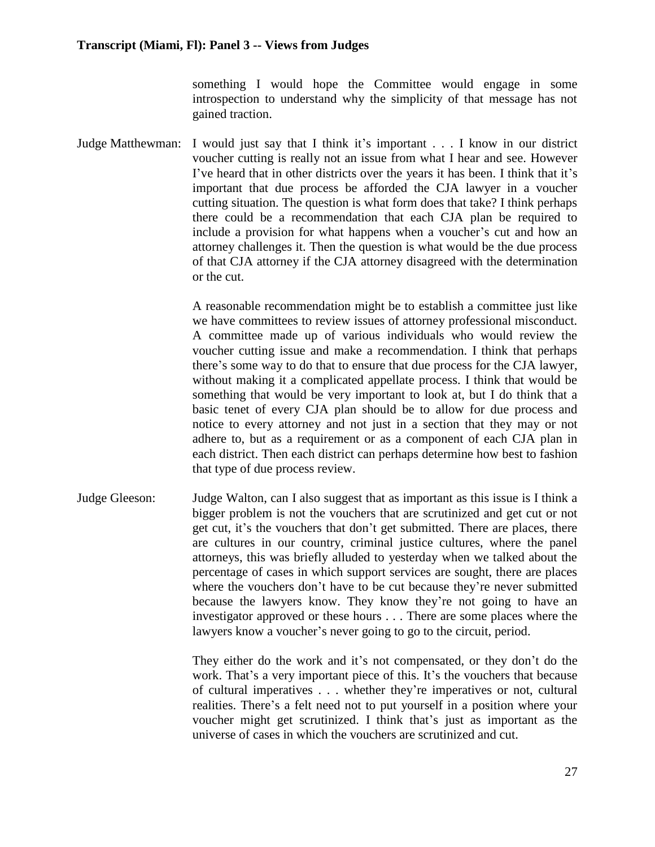something I would hope the Committee would engage in some introspection to understand why the simplicity of that message has not gained traction.

Judge Matthewman: I would just say that I think it's important . . . I know in our district voucher cutting is really not an issue from what I hear and see. However I've heard that in other districts over the years it has been. I think that it's important that due process be afforded the CJA lawyer in a voucher cutting situation. The question is what form does that take? I think perhaps there could be a recommendation that each CJA plan be required to include a provision for what happens when a voucher's cut and how an attorney challenges it. Then the question is what would be the due process of that CJA attorney if the CJA attorney disagreed with the determination or the cut.

> A reasonable recommendation might be to establish a committee just like we have committees to review issues of attorney professional misconduct. A committee made up of various individuals who would review the voucher cutting issue and make a recommendation. I think that perhaps there's some way to do that to ensure that due process for the CJA lawyer, without making it a complicated appellate process. I think that would be something that would be very important to look at, but I do think that a basic tenet of every CJA plan should be to allow for due process and notice to every attorney and not just in a section that they may or not adhere to, but as a requirement or as a component of each CJA plan in each district. Then each district can perhaps determine how best to fashion that type of due process review.

Judge Gleeson: Judge Walton, can I also suggest that as important as this issue is I think a bigger problem is not the vouchers that are scrutinized and get cut or not get cut, it's the vouchers that don't get submitted. There are places, there are cultures in our country, criminal justice cultures, where the panel attorneys, this was briefly alluded to yesterday when we talked about the percentage of cases in which support services are sought, there are places where the vouchers don't have to be cut because they're never submitted because the lawyers know. They know they're not going to have an investigator approved or these hours . . . There are some places where the lawyers know a voucher's never going to go to the circuit, period.

> They either do the work and it's not compensated, or they don't do the work. That's a very important piece of this. It's the vouchers that because of cultural imperatives . . . whether they're imperatives or not, cultural realities. There's a felt need not to put yourself in a position where your voucher might get scrutinized. I think that's just as important as the universe of cases in which the vouchers are scrutinized and cut.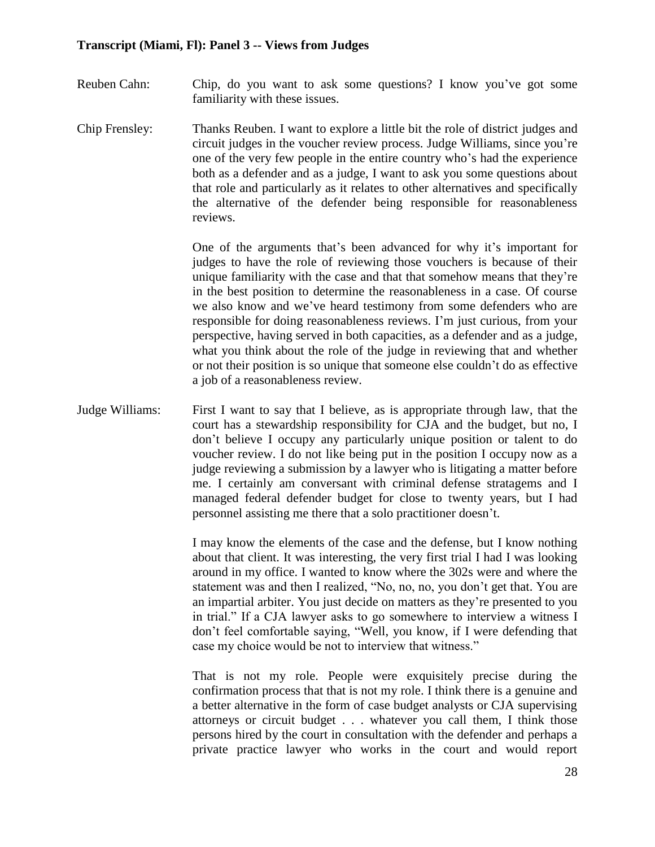- Reuben Cahn: Chip, do you want to ask some questions? I know you've got some familiarity with these issues.
- Chip Frensley: Thanks Reuben. I want to explore a little bit the role of district judges and circuit judges in the voucher review process. Judge Williams, since you're one of the very few people in the entire country who's had the experience both as a defender and as a judge, I want to ask you some questions about that role and particularly as it relates to other alternatives and specifically the alternative of the defender being responsible for reasonableness reviews.

One of the arguments that's been advanced for why it's important for judges to have the role of reviewing those vouchers is because of their unique familiarity with the case and that that somehow means that they're in the best position to determine the reasonableness in a case. Of course we also know and we've heard testimony from some defenders who are responsible for doing reasonableness reviews. I'm just curious, from your perspective, having served in both capacities, as a defender and as a judge, what you think about the role of the judge in reviewing that and whether or not their position is so unique that someone else couldn't do as effective a job of a reasonableness review.

Judge Williams: First I want to say that I believe, as is appropriate through law, that the court has a stewardship responsibility for CJA and the budget, but no, I don't believe I occupy any particularly unique position or talent to do voucher review. I do not like being put in the position I occupy now as a judge reviewing a submission by a lawyer who is litigating a matter before me. I certainly am conversant with criminal defense stratagems and I managed federal defender budget for close to twenty years, but I had personnel assisting me there that a solo practitioner doesn't.

> I may know the elements of the case and the defense, but I know nothing about that client. It was interesting, the very first trial I had I was looking around in my office. I wanted to know where the 302s were and where the statement was and then I realized, "No, no, no, you don't get that. You are an impartial arbiter. You just decide on matters as they're presented to you in trial." If a CJA lawyer asks to go somewhere to interview a witness I don't feel comfortable saying, "Well, you know, if I were defending that case my choice would be not to interview that witness."

> That is not my role. People were exquisitely precise during the confirmation process that that is not my role. I think there is a genuine and a better alternative in the form of case budget analysts or CJA supervising attorneys or circuit budget . . . whatever you call them, I think those persons hired by the court in consultation with the defender and perhaps a private practice lawyer who works in the court and would report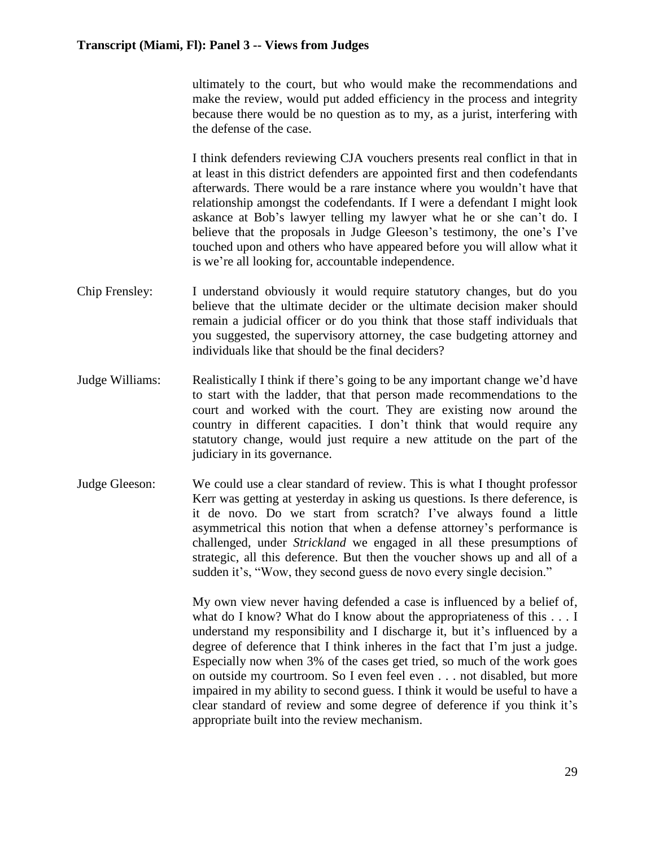ultimately to the court, but who would make the recommendations and make the review, would put added efficiency in the process and integrity because there would be no question as to my, as a jurist, interfering with the defense of the case.

I think defenders reviewing CJA vouchers presents real conflict in that in at least in this district defenders are appointed first and then codefendants afterwards. There would be a rare instance where you wouldn't have that relationship amongst the codefendants. If I were a defendant I might look askance at Bob's lawyer telling my lawyer what he or she can't do. I believe that the proposals in Judge Gleeson's testimony, the one's I've touched upon and others who have appeared before you will allow what it is we're all looking for, accountable independence.

- Chip Frensley: I understand obviously it would require statutory changes, but do you believe that the ultimate decider or the ultimate decision maker should remain a judicial officer or do you think that those staff individuals that you suggested, the supervisory attorney, the case budgeting attorney and individuals like that should be the final deciders?
- Judge Williams: Realistically I think if there's going to be any important change we'd have to start with the ladder, that that person made recommendations to the court and worked with the court. They are existing now around the country in different capacities. I don't think that would require any statutory change, would just require a new attitude on the part of the judiciary in its governance.
- Judge Gleeson: We could use a clear standard of review. This is what I thought professor Kerr was getting at yesterday in asking us questions. Is there deference, is it de novo. Do we start from scratch? I've always found a little asymmetrical this notion that when a defense attorney's performance is challenged, under *Strickland* we engaged in all these presumptions of strategic, all this deference. But then the voucher shows up and all of a sudden it's, "Wow, they second guess de novo every single decision."

My own view never having defended a case is influenced by a belief of, what do I know? What do I know about the appropriateness of this . . . I understand my responsibility and I discharge it, but it's influenced by a degree of deference that I think inheres in the fact that I'm just a judge. Especially now when 3% of the cases get tried, so much of the work goes on outside my courtroom. So I even feel even . . . not disabled, but more impaired in my ability to second guess. I think it would be useful to have a clear standard of review and some degree of deference if you think it's appropriate built into the review mechanism.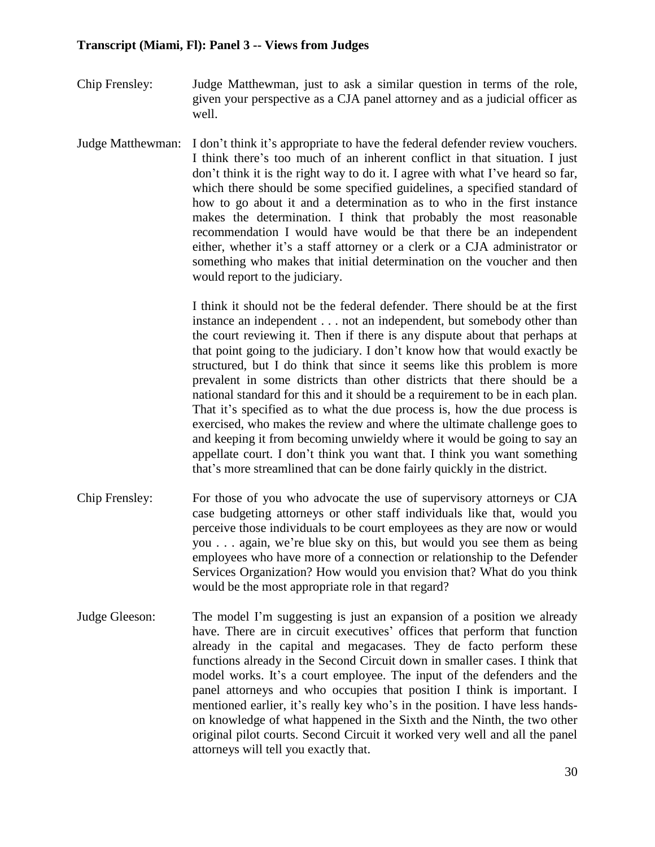- Chip Frensley: Judge Matthewman, just to ask a similar question in terms of the role, given your perspective as a CJA panel attorney and as a judicial officer as well.
- Judge Matthewman: I don't think it's appropriate to have the federal defender review vouchers. I think there's too much of an inherent conflict in that situation. I just don't think it is the right way to do it. I agree with what I've heard so far, which there should be some specified guidelines, a specified standard of how to go about it and a determination as to who in the first instance makes the determination. I think that probably the most reasonable recommendation I would have would be that there be an independent either, whether it's a staff attorney or a clerk or a CJA administrator or something who makes that initial determination on the voucher and then would report to the judiciary.

I think it should not be the federal defender. There should be at the first instance an independent . . . not an independent, but somebody other than the court reviewing it. Then if there is any dispute about that perhaps at that point going to the judiciary. I don't know how that would exactly be structured, but I do think that since it seems like this problem is more prevalent in some districts than other districts that there should be a national standard for this and it should be a requirement to be in each plan. That it's specified as to what the due process is, how the due process is exercised, who makes the review and where the ultimate challenge goes to and keeping it from becoming unwieldy where it would be going to say an appellate court. I don't think you want that. I think you want something that's more streamlined that can be done fairly quickly in the district.

- Chip Frensley: For those of you who advocate the use of supervisory attorneys or CJA case budgeting attorneys or other staff individuals like that, would you perceive those individuals to be court employees as they are now or would you . . . again, we're blue sky on this, but would you see them as being employees who have more of a connection or relationship to the Defender Services Organization? How would you envision that? What do you think would be the most appropriate role in that regard?
- Judge Gleeson: The model I'm suggesting is just an expansion of a position we already have. There are in circuit executives' offices that perform that function already in the capital and megacases. They de facto perform these functions already in the Second Circuit down in smaller cases. I think that model works. It's a court employee. The input of the defenders and the panel attorneys and who occupies that position I think is important. I mentioned earlier, it's really key who's in the position. I have less handson knowledge of what happened in the Sixth and the Ninth, the two other original pilot courts. Second Circuit it worked very well and all the panel attorneys will tell you exactly that.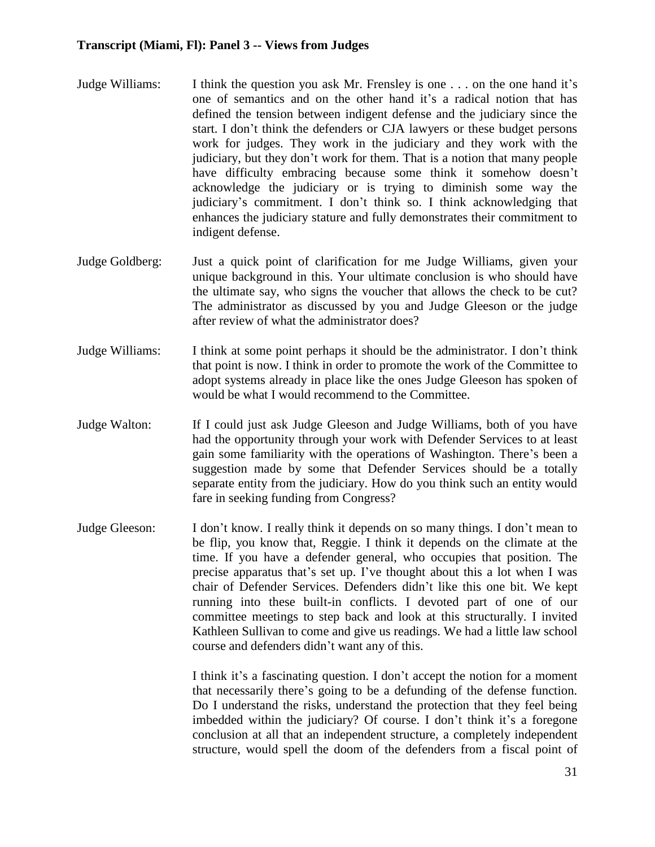- Judge Williams: I think the question you ask Mr. Frensley is one . . . on the one hand it's one of semantics and on the other hand it's a radical notion that has defined the tension between indigent defense and the judiciary since the start. I don't think the defenders or CJA lawyers or these budget persons work for judges. They work in the judiciary and they work with the judiciary, but they don't work for them. That is a notion that many people have difficulty embracing because some think it somehow doesn't acknowledge the judiciary or is trying to diminish some way the judiciary's commitment. I don't think so. I think acknowledging that enhances the judiciary stature and fully demonstrates their commitment to indigent defense.
- Judge Goldberg: Just a quick point of clarification for me Judge Williams, given your unique background in this. Your ultimate conclusion is who should have the ultimate say, who signs the voucher that allows the check to be cut? The administrator as discussed by you and Judge Gleeson or the judge after review of what the administrator does?
- Judge Williams: I think at some point perhaps it should be the administrator. I don't think that point is now. I think in order to promote the work of the Committee to adopt systems already in place like the ones Judge Gleeson has spoken of would be what I would recommend to the Committee.
- Judge Walton: If I could just ask Judge Gleeson and Judge Williams, both of you have had the opportunity through your work with Defender Services to at least gain some familiarity with the operations of Washington. There's been a suggestion made by some that Defender Services should be a totally separate entity from the judiciary. How do you think such an entity would fare in seeking funding from Congress?
- Judge Gleeson: I don't know. I really think it depends on so many things. I don't mean to be flip, you know that, Reggie. I think it depends on the climate at the time. If you have a defender general, who occupies that position. The precise apparatus that's set up. I've thought about this a lot when I was chair of Defender Services. Defenders didn't like this one bit. We kept running into these built-in conflicts. I devoted part of one of our committee meetings to step back and look at this structurally. I invited Kathleen Sullivan to come and give us readings. We had a little law school course and defenders didn't want any of this.

I think it's a fascinating question. I don't accept the notion for a moment that necessarily there's going to be a defunding of the defense function. Do I understand the risks, understand the protection that they feel being imbedded within the judiciary? Of course. I don't think it's a foregone conclusion at all that an independent structure, a completely independent structure, would spell the doom of the defenders from a fiscal point of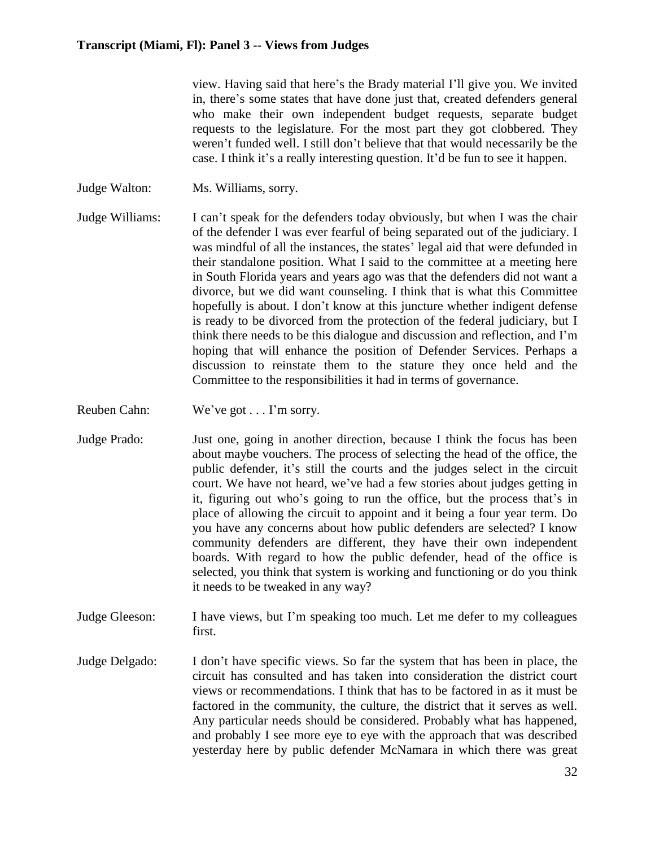view. Having said that here's the Brady material I'll give you. We invited in, there's some states that have done just that, created defenders general who make their own independent budget requests, separate budget requests to the legislature. For the most part they got clobbered. They weren't funded well. I still don't believe that that would necessarily be the case. I think it's a really interesting question. It'd be fun to see it happen.

- Judge Walton: Ms. Williams, sorry.
- Judge Williams: I can't speak for the defenders today obviously, but when I was the chair of the defender I was ever fearful of being separated out of the judiciary. I was mindful of all the instances, the states' legal aid that were defunded in their standalone position. What I said to the committee at a meeting here in South Florida years and years ago was that the defenders did not want a divorce, but we did want counseling. I think that is what this Committee hopefully is about. I don't know at this juncture whether indigent defense is ready to be divorced from the protection of the federal judiciary, but I think there needs to be this dialogue and discussion and reflection, and I'm hoping that will enhance the position of Defender Services. Perhaps a discussion to reinstate them to the stature they once held and the Committee to the responsibilities it had in terms of governance.
- Reuben Cahn: We've got . . . I'm sorry.
- Judge Prado: Just one, going in another direction, because I think the focus has been about maybe vouchers. The process of selecting the head of the office, the public defender, it's still the courts and the judges select in the circuit court. We have not heard, we've had a few stories about judges getting in it, figuring out who's going to run the office, but the process that's in place of allowing the circuit to appoint and it being a four year term. Do you have any concerns about how public defenders are selected? I know community defenders are different, they have their own independent boards. With regard to how the public defender, head of the office is selected, you think that system is working and functioning or do you think it needs to be tweaked in any way?
- Judge Gleeson: I have views, but I'm speaking too much. Let me defer to my colleagues first.
- Judge Delgado: I don't have specific views. So far the system that has been in place, the circuit has consulted and has taken into consideration the district court views or recommendations. I think that has to be factored in as it must be factored in the community, the culture, the district that it serves as well. Any particular needs should be considered. Probably what has happened, and probably I see more eye to eye with the approach that was described yesterday here by public defender McNamara in which there was great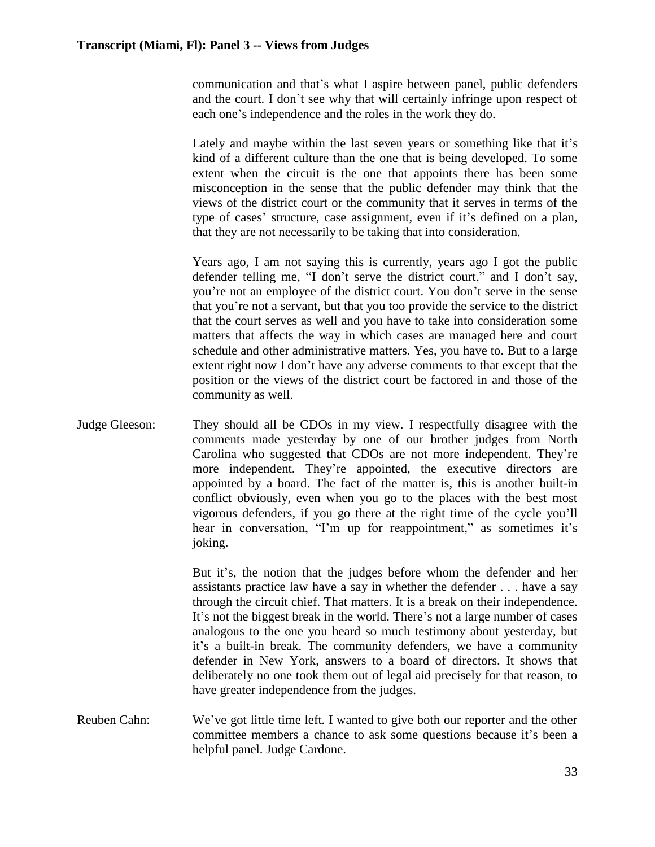communication and that's what I aspire between panel, public defenders and the court. I don't see why that will certainly infringe upon respect of each one's independence and the roles in the work they do.

Lately and maybe within the last seven years or something like that it's kind of a different culture than the one that is being developed. To some extent when the circuit is the one that appoints there has been some misconception in the sense that the public defender may think that the views of the district court or the community that it serves in terms of the type of cases' structure, case assignment, even if it's defined on a plan, that they are not necessarily to be taking that into consideration.

Years ago, I am not saying this is currently, years ago I got the public defender telling me, "I don't serve the district court," and I don't say, you're not an employee of the district court. You don't serve in the sense that you're not a servant, but that you too provide the service to the district that the court serves as well and you have to take into consideration some matters that affects the way in which cases are managed here and court schedule and other administrative matters. Yes, you have to. But to a large extent right now I don't have any adverse comments to that except that the position or the views of the district court be factored in and those of the community as well.

Judge Gleeson: They should all be CDOs in my view. I respectfully disagree with the comments made yesterday by one of our brother judges from North Carolina who suggested that CDOs are not more independent. They're more independent. They're appointed, the executive directors are appointed by a board. The fact of the matter is, this is another built-in conflict obviously, even when you go to the places with the best most vigorous defenders, if you go there at the right time of the cycle you'll hear in conversation, "I'm up for reappointment," as sometimes it's joking.

> But it's, the notion that the judges before whom the defender and her assistants practice law have a say in whether the defender . . . have a say through the circuit chief. That matters. It is a break on their independence. It's not the biggest break in the world. There's not a large number of cases analogous to the one you heard so much testimony about yesterday, but it's a built-in break. The community defenders, we have a community defender in New York, answers to a board of directors. It shows that deliberately no one took them out of legal aid precisely for that reason, to have greater independence from the judges.

Reuben Cahn: We've got little time left. I wanted to give both our reporter and the other committee members a chance to ask some questions because it's been a helpful panel. Judge Cardone.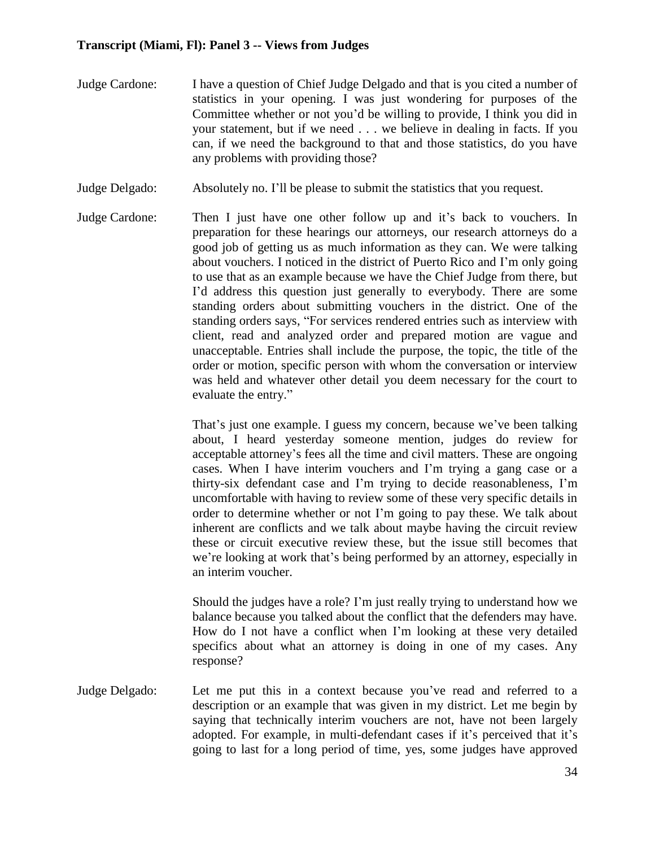- Judge Cardone: I have a question of Chief Judge Delgado and that is you cited a number of statistics in your opening. I was just wondering for purposes of the Committee whether or not you'd be willing to provide, I think you did in your statement, but if we need . . . we believe in dealing in facts. If you can, if we need the background to that and those statistics, do you have any problems with providing those?
- Judge Delgado: Absolutely no. I'll be please to submit the statistics that you request.
- Judge Cardone: Then I just have one other follow up and it's back to vouchers. In preparation for these hearings our attorneys, our research attorneys do a good job of getting us as much information as they can. We were talking about vouchers. I noticed in the district of Puerto Rico and I'm only going to use that as an example because we have the Chief Judge from there, but I'd address this question just generally to everybody. There are some standing orders about submitting vouchers in the district. One of the standing orders says, "For services rendered entries such as interview with client, read and analyzed order and prepared motion are vague and unacceptable. Entries shall include the purpose, the topic, the title of the order or motion, specific person with whom the conversation or interview was held and whatever other detail you deem necessary for the court to evaluate the entry."

That's just one example. I guess my concern, because we've been talking about, I heard yesterday someone mention, judges do review for acceptable attorney's fees all the time and civil matters. These are ongoing cases. When I have interim vouchers and I'm trying a gang case or a thirty-six defendant case and I'm trying to decide reasonableness, I'm uncomfortable with having to review some of these very specific details in order to determine whether or not I'm going to pay these. We talk about inherent are conflicts and we talk about maybe having the circuit review these or circuit executive review these, but the issue still becomes that we're looking at work that's being performed by an attorney, especially in an interim voucher.

Should the judges have a role? I'm just really trying to understand how we balance because you talked about the conflict that the defenders may have. How do I not have a conflict when I'm looking at these very detailed specifics about what an attorney is doing in one of my cases. Any response?

Judge Delgado: Let me put this in a context because you've read and referred to a description or an example that was given in my district. Let me begin by saying that technically interim vouchers are not, have not been largely adopted. For example, in multi-defendant cases if it's perceived that it's going to last for a long period of time, yes, some judges have approved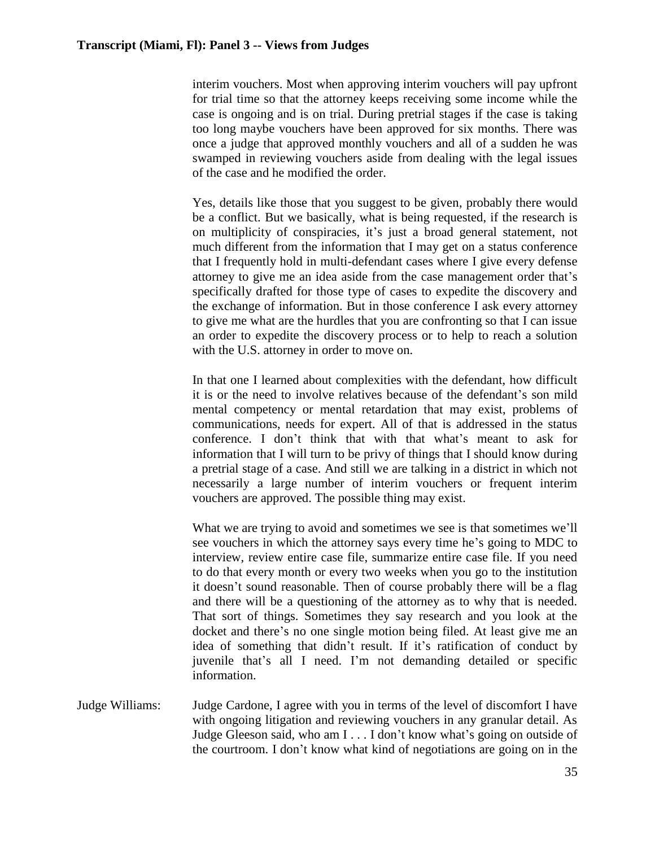interim vouchers. Most when approving interim vouchers will pay upfront for trial time so that the attorney keeps receiving some income while the case is ongoing and is on trial. During pretrial stages if the case is taking too long maybe vouchers have been approved for six months. There was once a judge that approved monthly vouchers and all of a sudden he was swamped in reviewing vouchers aside from dealing with the legal issues of the case and he modified the order.

Yes, details like those that you suggest to be given, probably there would be a conflict. But we basically, what is being requested, if the research is on multiplicity of conspiracies, it's just a broad general statement, not much different from the information that I may get on a status conference that I frequently hold in multi-defendant cases where I give every defense attorney to give me an idea aside from the case management order that's specifically drafted for those type of cases to expedite the discovery and the exchange of information. But in those conference I ask every attorney to give me what are the hurdles that you are confronting so that I can issue an order to expedite the discovery process or to help to reach a solution with the U.S. attorney in order to move on.

In that one I learned about complexities with the defendant, how difficult it is or the need to involve relatives because of the defendant's son mild mental competency or mental retardation that may exist, problems of communications, needs for expert. All of that is addressed in the status conference. I don't think that with that what's meant to ask for information that I will turn to be privy of things that I should know during a pretrial stage of a case. And still we are talking in a district in which not necessarily a large number of interim vouchers or frequent interim vouchers are approved. The possible thing may exist.

What we are trying to avoid and sometimes we see is that sometimes we'll see vouchers in which the attorney says every time he's going to MDC to interview, review entire case file, summarize entire case file. If you need to do that every month or every two weeks when you go to the institution it doesn't sound reasonable. Then of course probably there will be a flag and there will be a questioning of the attorney as to why that is needed. That sort of things. Sometimes they say research and you look at the docket and there's no one single motion being filed. At least give me an idea of something that didn't result. If it's ratification of conduct by juvenile that's all I need. I'm not demanding detailed or specific information.

Judge Williams: Judge Cardone, I agree with you in terms of the level of discomfort I have with ongoing litigation and reviewing vouchers in any granular detail. As Judge Gleeson said, who am I . . . I don't know what's going on outside of the courtroom. I don't know what kind of negotiations are going on in the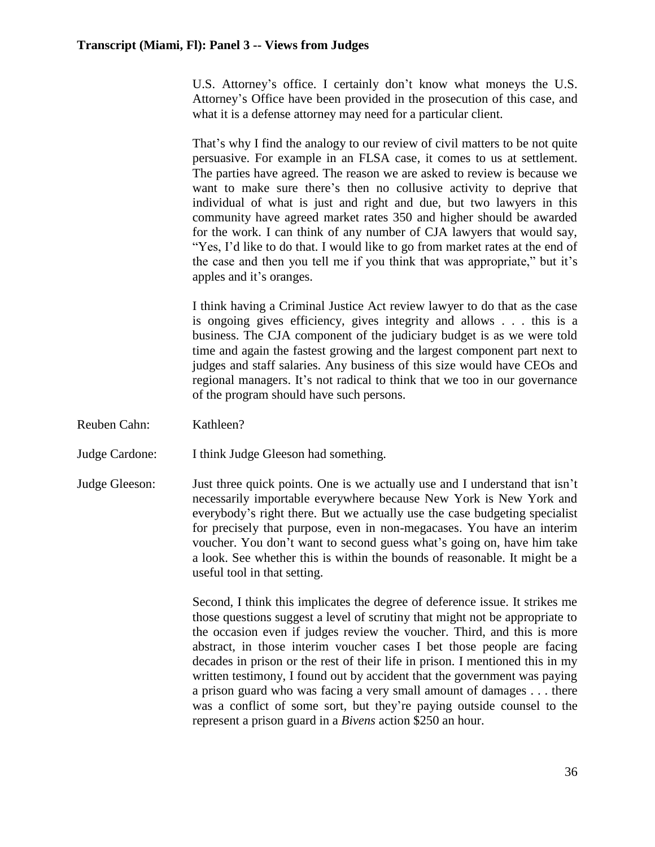U.S. Attorney's office. I certainly don't know what moneys the U.S. Attorney's Office have been provided in the prosecution of this case, and what it is a defense attorney may need for a particular client.

That's why I find the analogy to our review of civil matters to be not quite persuasive. For example in an FLSA case, it comes to us at settlement. The parties have agreed. The reason we are asked to review is because we want to make sure there's then no collusive activity to deprive that individual of what is just and right and due, but two lawyers in this community have agreed market rates 350 and higher should be awarded for the work. I can think of any number of CJA lawyers that would say, "Yes, I'd like to do that. I would like to go from market rates at the end of the case and then you tell me if you think that was appropriate," but it's apples and it's oranges.

I think having a Criminal Justice Act review lawyer to do that as the case is ongoing gives efficiency, gives integrity and allows . . . this is a business. The CJA component of the judiciary budget is as we were told time and again the fastest growing and the largest component part next to judges and staff salaries. Any business of this size would have CEOs and regional managers. It's not radical to think that we too in our governance of the program should have such persons.

- Reuben Cahn: Kathleen?
- Judge Cardone: I think Judge Gleeson had something.
- Judge Gleeson: Just three quick points. One is we actually use and I understand that isn't necessarily importable everywhere because New York is New York and everybody's right there. But we actually use the case budgeting specialist for precisely that purpose, even in non-megacases. You have an interim voucher. You don't want to second guess what's going on, have him take a look. See whether this is within the bounds of reasonable. It might be a useful tool in that setting.

Second, I think this implicates the degree of deference issue. It strikes me those questions suggest a level of scrutiny that might not be appropriate to the occasion even if judges review the voucher. Third, and this is more abstract, in those interim voucher cases I bet those people are facing decades in prison or the rest of their life in prison. I mentioned this in my written testimony, I found out by accident that the government was paying a prison guard who was facing a very small amount of damages . . . there was a conflict of some sort, but they're paying outside counsel to the represent a prison guard in a *Bivens* action \$250 an hour.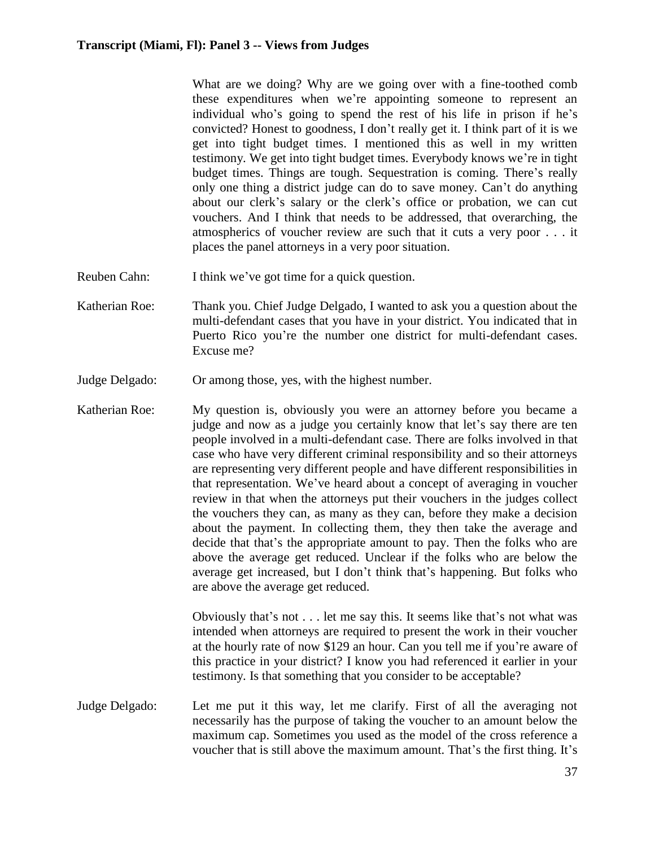What are we doing? Why are we going over with a fine-toothed comb these expenditures when we're appointing someone to represent an individual who's going to spend the rest of his life in prison if he's convicted? Honest to goodness, I don't really get it. I think part of it is we get into tight budget times. I mentioned this as well in my written testimony. We get into tight budget times. Everybody knows we're in tight budget times. Things are tough. Sequestration is coming. There's really only one thing a district judge can do to save money. Can't do anything about our clerk's salary or the clerk's office or probation, we can cut vouchers. And I think that needs to be addressed, that overarching, the atmospherics of voucher review are such that it cuts a very poor . . . it places the panel attorneys in a very poor situation.

- Reuben Cahn: I think we've got time for a quick question.
- Katherian Roe: Thank you. Chief Judge Delgado, I wanted to ask you a question about the multi-defendant cases that you have in your district. You indicated that in Puerto Rico you're the number one district for multi-defendant cases. Excuse me?
- Judge Delgado: Or among those, yes, with the highest number.
- Katherian Roe: My question is, obviously you were an attorney before you became a judge and now as a judge you certainly know that let's say there are ten people involved in a multi-defendant case. There are folks involved in that case who have very different criminal responsibility and so their attorneys are representing very different people and have different responsibilities in that representation. We've heard about a concept of averaging in voucher review in that when the attorneys put their vouchers in the judges collect the vouchers they can, as many as they can, before they make a decision about the payment. In collecting them, they then take the average and decide that that's the appropriate amount to pay. Then the folks who are above the average get reduced. Unclear if the folks who are below the average get increased, but I don't think that's happening. But folks who are above the average get reduced.

Obviously that's not . . . let me say this. It seems like that's not what was intended when attorneys are required to present the work in their voucher at the hourly rate of now \$129 an hour. Can you tell me if you're aware of this practice in your district? I know you had referenced it earlier in your testimony. Is that something that you consider to be acceptable?

Judge Delgado: Let me put it this way, let me clarify. First of all the averaging not necessarily has the purpose of taking the voucher to an amount below the maximum cap. Sometimes you used as the model of the cross reference a voucher that is still above the maximum amount. That's the first thing. It's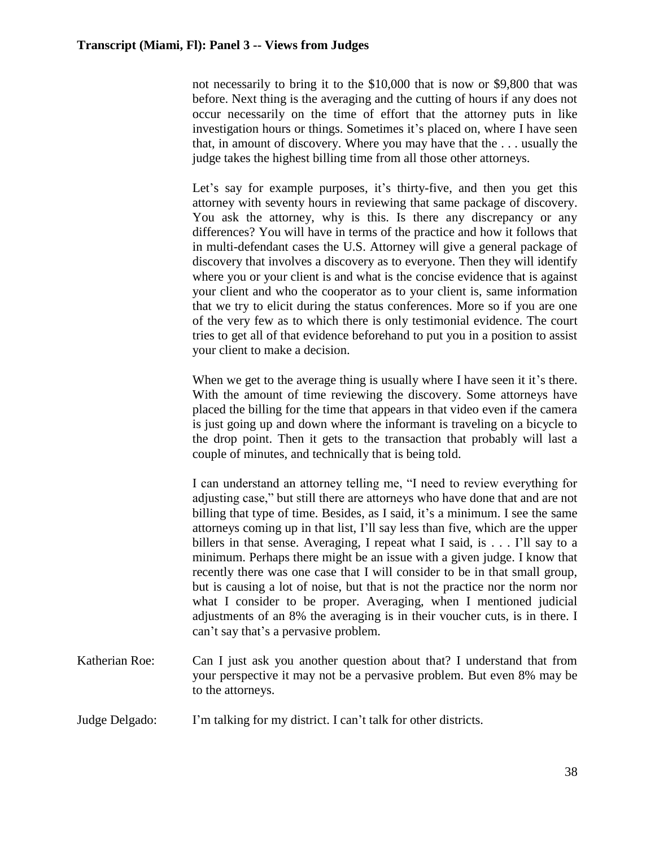not necessarily to bring it to the \$10,000 that is now or \$9,800 that was before. Next thing is the averaging and the cutting of hours if any does not occur necessarily on the time of effort that the attorney puts in like investigation hours or things. Sometimes it's placed on, where I have seen that, in amount of discovery. Where you may have that the . . . usually the judge takes the highest billing time from all those other attorneys.

Let's say for example purposes, it's thirty-five, and then you get this attorney with seventy hours in reviewing that same package of discovery. You ask the attorney, why is this. Is there any discrepancy or any differences? You will have in terms of the practice and how it follows that in multi-defendant cases the U.S. Attorney will give a general package of discovery that involves a discovery as to everyone. Then they will identify where you or your client is and what is the concise evidence that is against your client and who the cooperator as to your client is, same information that we try to elicit during the status conferences. More so if you are one of the very few as to which there is only testimonial evidence. The court tries to get all of that evidence beforehand to put you in a position to assist your client to make a decision.

When we get to the average thing is usually where I have seen it it's there. With the amount of time reviewing the discovery. Some attorneys have placed the billing for the time that appears in that video even if the camera is just going up and down where the informant is traveling on a bicycle to the drop point. Then it gets to the transaction that probably will last a couple of minutes, and technically that is being told.

I can understand an attorney telling me, "I need to review everything for adjusting case," but still there are attorneys who have done that and are not billing that type of time. Besides, as I said, it's a minimum. I see the same attorneys coming up in that list, I'll say less than five, which are the upper billers in that sense. Averaging, I repeat what I said, is . . . I'll say to a minimum. Perhaps there might be an issue with a given judge. I know that recently there was one case that I will consider to be in that small group, but is causing a lot of noise, but that is not the practice nor the norm nor what I consider to be proper. Averaging, when I mentioned judicial adjustments of an 8% the averaging is in their voucher cuts, is in there. I can't say that's a pervasive problem.

Katherian Roe: Can I just ask you another question about that? I understand that from your perspective it may not be a pervasive problem. But even 8% may be to the attorneys.

# Judge Delgado: I'm talking for my district. I can't talk for other districts.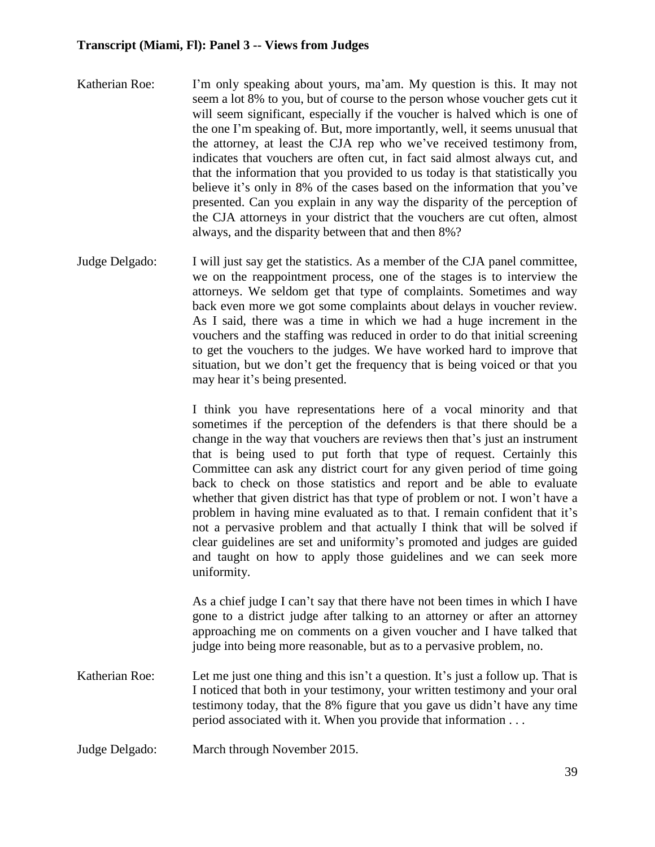- Katherian Roe: I'm only speaking about yours, ma'am. My question is this. It may not seem a lot 8% to you, but of course to the person whose voucher gets cut it will seem significant, especially if the voucher is halved which is one of the one I'm speaking of. But, more importantly, well, it seems unusual that the attorney, at least the CJA rep who we've received testimony from, indicates that vouchers are often cut, in fact said almost always cut, and that the information that you provided to us today is that statistically you believe it's only in 8% of the cases based on the information that you've presented. Can you explain in any way the disparity of the perception of the CJA attorneys in your district that the vouchers are cut often, almost always, and the disparity between that and then 8%?
- Judge Delgado: I will just say get the statistics. As a member of the CJA panel committee, we on the reappointment process, one of the stages is to interview the attorneys. We seldom get that type of complaints. Sometimes and way back even more we got some complaints about delays in voucher review. As I said, there was a time in which we had a huge increment in the vouchers and the staffing was reduced in order to do that initial screening to get the vouchers to the judges. We have worked hard to improve that situation, but we don't get the frequency that is being voiced or that you may hear it's being presented.

I think you have representations here of a vocal minority and that sometimes if the perception of the defenders is that there should be a change in the way that vouchers are reviews then that's just an instrument that is being used to put forth that type of request. Certainly this Committee can ask any district court for any given period of time going back to check on those statistics and report and be able to evaluate whether that given district has that type of problem or not. I won't have a problem in having mine evaluated as to that. I remain confident that it's not a pervasive problem and that actually I think that will be solved if clear guidelines are set and uniformity's promoted and judges are guided and taught on how to apply those guidelines and we can seek more uniformity.

As a chief judge I can't say that there have not been times in which I have gone to a district judge after talking to an attorney or after an attorney approaching me on comments on a given voucher and I have talked that judge into being more reasonable, but as to a pervasive problem, no.

- Katherian Roe: Let me just one thing and this isn't a question. It's just a follow up. That is I noticed that both in your testimony, your written testimony and your oral testimony today, that the 8% figure that you gave us didn't have any time period associated with it. When you provide that information . . .
- Judge Delgado: March through November 2015.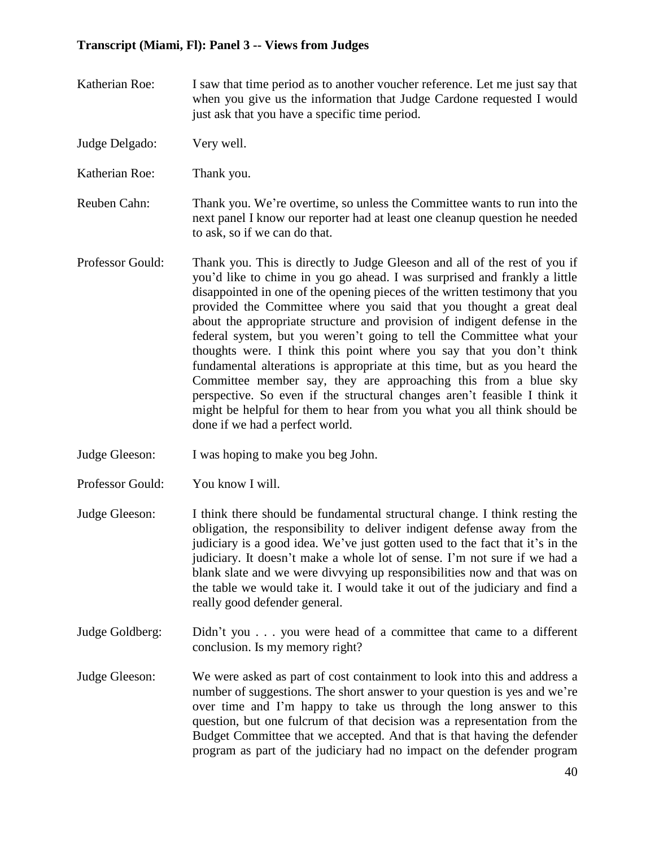- Katherian Roe: I saw that time period as to another voucher reference. Let me just say that when you give us the information that Judge Cardone requested I would just ask that you have a specific time period.
- Judge Delgado: Very well.
- Katherian Roe: Thank you.
- Reuben Cahn: Thank you. We're overtime, so unless the Committee wants to run into the next panel I know our reporter had at least one cleanup question he needed to ask, so if we can do that.
- Professor Gould: Thank you. This is directly to Judge Gleeson and all of the rest of you if you'd like to chime in you go ahead. I was surprised and frankly a little disappointed in one of the opening pieces of the written testimony that you provided the Committee where you said that you thought a great deal about the appropriate structure and provision of indigent defense in the federal system, but you weren't going to tell the Committee what your thoughts were. I think this point where you say that you don't think fundamental alterations is appropriate at this time, but as you heard the Committee member say, they are approaching this from a blue sky perspective. So even if the structural changes aren't feasible I think it might be helpful for them to hear from you what you all think should be done if we had a perfect world.
- Judge Gleeson: I was hoping to make you beg John.
- Professor Gould: You know I will.
- Judge Gleeson: I think there should be fundamental structural change. I think resting the obligation, the responsibility to deliver indigent defense away from the judiciary is a good idea. We've just gotten used to the fact that it's in the judiciary. It doesn't make a whole lot of sense. I'm not sure if we had a blank slate and we were divvying up responsibilities now and that was on the table we would take it. I would take it out of the judiciary and find a really good defender general.
- Judge Goldberg: Didn't you . . . you were head of a committee that came to a different conclusion. Is my memory right?
- Judge Gleeson: We were asked as part of cost containment to look into this and address a number of suggestions. The short answer to your question is yes and we're over time and I'm happy to take us through the long answer to this question, but one fulcrum of that decision was a representation from the Budget Committee that we accepted. And that is that having the defender program as part of the judiciary had no impact on the defender program